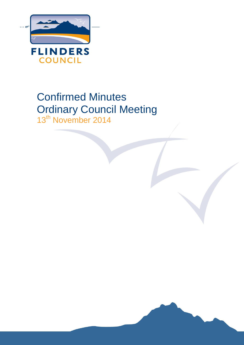

# Confirmed Minutes Ordinary Council Meeting 13<sup>th</sup> November 2014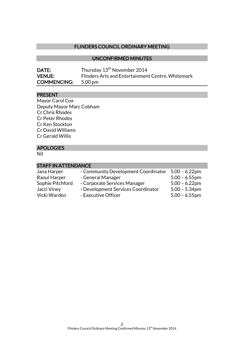### FLINDERS COUNCIL ORDINARY MEETING

### UNCONFIRMED MINUTES

| <b>DATE:</b>       | Thursday 13 <sup>th</sup> November 2014           |
|--------------------|---------------------------------------------------|
| <b>VENUE:</b>      | Flinders Arts and Entertainment Centre, Whitemark |
| <b>COMMENCING:</b> | 5.00 pm                                           |

#### PRESENT

Mayor Carol Cox Deputy Mayor Marc Cobham Cr Chris Rhodes Cr Peter Rhodes Cr Ken Stockton Cr David Williams Cr Gerald Willis

### APOLOGIES

Nil

| <b>STAFF IN ATTENDANCE</b> |                                    |  |  |  |
|----------------------------|------------------------------------|--|--|--|
| Jana Harper                | - Community Development Coordinato |  |  |  |
| Raoul Harper               | - General Manager                  |  |  |  |
| Sophie Pitchford           | - Corporate Services Manager       |  |  |  |

 $\gamma$  5.00 – 6.22pm  $5.00 - 6.55$ pm  $5.00 - 6.22$ pm Jacci Viney - Development Services Coordinator 5.00 - 5.34pm

Vicki Warden - Executive Officer 5.00 - 6.55pm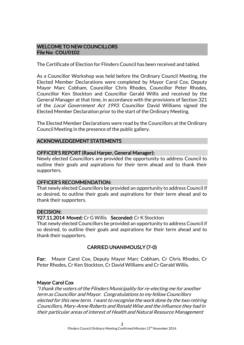### WELCOME TO NEW COUNCILLORS File No: COU/0102

The Certificate of Election for Flinders Council has been received and tabled.

As a Councillor Workshop was held before the Ordinary Council Meeting, the Elected Member Declarations were completed by Mayor Carol Cox, Deputy Mayor Marc Cobham, Councillor Chris Rhodes, Councillor Peter Rhodes, Councillor Ken Stockton and Councillor Gerald Willis and received by the General Manager at that time, in accordance with the provisions of Section 321 of the Local Government Act 1993. Councillor David Williams signed the Elected Member Declaration prior to the start of the Ordinary Meeting.

The Elected Member Declarations were read by the Councillors at the Ordinary Council Meeting in the presence of the public gallery.

### ACKNOWLEDGEMENT STATEMENTS

### OFFICER'S REPORT (Raoul Harper, General Manager):

Newly elected Councillors are provided the opportunity to address Council to outline their goals and aspirations for their term ahead and to thank their supporters.

### OFFICER'S RECOMMENDATION:

That newly elected Councillors be provided an opportunity to address Council if so desired, to outline their goals and aspirations for their term ahead and to thank their supporters.

### DECISION:

### 927.11.2014 Moved: Cr G Willis Seconded: Cr K Stockton

That newly elected Councillors be provided an opportunity to address Council if so desired, to outline their goals and aspirations for their term ahead and to thank their supporters.

### CARRIED UNANIMOUSLY (7-0)

For: Mayor Carol Cox, Deputy Mayor Marc Cobham, Cr Chris Rhodes, Cr Peter Rhodes, Cr Ken Stockton, Cr David Williams and Cr Gerald Willis.

### Mayor Carol Cox

"I thank the voters of the Flinders Municipality for re-electing me for another term as Councillor and Mayor. Congratulations to my fellow Councillors elected for this new term. I want to recognise the work done by the two retiring Councillors, Mary-Anne Roberts and Ronald Wise and the influence they had in their particular areas of interest of Health and Natural Resource Management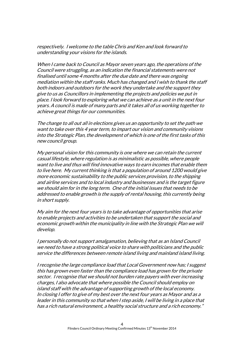respectively. I welcome to the table Chris and Ken and look forward to understanding your visions for the islands.

When I came back to Council as Mayor seven years ago, the operations of the Council were struggling, as an indication the financial statements were not finalised until some 4 months after the due date and there was ongoing mediation within the staff ranks. Much has changed and I wish to thank the staff both indoors and outdoors for the work they undertake and the support they give to us as Councillors in implementing the projects and policies we put in place. I look forward to exploring what we can achieve as a unit in the next four years. A council is made of many parts and it takes all of us working together to achieve great things for our communities.

The change to all out all in elections gives us an opportunity to set the path we want to take over this 4 year term, to impart our vision and community visions into the Strategic Plan, the development of which is one of the first tasks of this new council group.

My personal vision for this community is one where we can retain the current casual lifestyle, where regulation is as minimalistic as possible, where people want to live and thus will find innovative ways to earn incomes that enable them to live here. My current thinking is that a population of around 1200 would give more economic sustainability to the public services provision, to the shipping and airline services and to local industry and businesses and is the target figure we should aim for in the long term. One of the initial issues that needs to be addressed to enable growth is the supply of rental housing, this currently being in short supply.

My aim for the next four years is to take advantage of opportunities that arise to enable projects and activities to be undertaken that support the social and economic growth within the municipality in line with the Strategic Plan we will develop.

I personally do not support amalgamation, believing that as an Island Council we need to have a strong political voice to share with politicians and the public service the differences between remote island living and mainland island living.

I recognise the large compliance load that Local Government now has; I suggest this has grown even faster than the compliance load has grown for the private sector. I recognise that we should not burden rate payers with ever increasing charges, I also advocate that where possible the Council should employ on island staff with the advantage of supporting growth of the local economy. In closing I offer to give of my best over the next four years as Mayor and as a leader in this community so that when I step aside, I will be living in a place that has a rich natural environment, a healthy social structure and a rich economy."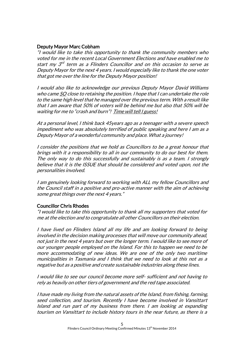### Deputy Mayor Marc Cobham

"I would like to take this opportunity to thank the community members who voted for me in the recent Local Government Elections and have enabled me to start my 3<sup>rd</sup> term as a Flinders Councillor and on this occasion to serve as Deputy Mayor for the next 4 years. I would especially like to thank the one voter that got me over the line for the Deputy Mayor position!

I would also like to acknowledge our previous Deputy Mayor David Williams who came SO close to retaining the position. I hope that I can undertake the role to the same high level that he managed over the previous term. With a result like that I am aware that 50% of voters will be behind me but also that 50% will be waiting for me to "crash and burn"! Time will tell I guess!

At a personal level, I think back 45years ago as a teenager with a severe speech impediment who was absolutely terrified of public speaking and here I am as a Deputy Mayor of a wonderful community and place. What a journey!

I consider the positions that we hold as Councillors to be a great honour that brings with it a responsibility to all in our community to do our best for them. The only way to do this successfully and sustainably is as a team. I strongly believe that it is the ISSUE that should be considered and voted upon, not the personalities involved.

I am genuinely looking forward to working with ALL my fellow Councillors and the Council staff in a positive and pro-active manner with the aim of achieving some great things over the next 4 years."

### Councillor Chris Rhodes

"I would like to take this opportunity to thank all my supporters that voted for me at the election and to congratulate all other Councillors on their election.

I have lived on Flinders Island all my life and am looking forward to being involved in the decision making processes that will move our community ahead, not just in the next 4 years but over the longer term. I would like to see more of our younger people employed on the Island. For this to happen we need to be more accommodating of new ideas. We are one of the only two maritime municipalities in Tasmania and I think that we need to look at this not as a negative but as a positive and create sustainable industries along these lines.

I would like to see our council become more self- sufficient and not having to rely as heavily on other tiers of government and the red tape associated.

I have made my living from the natural assets of the Island, from fishing, farming, seed collection, and tourism. Recently I have become involved in Vansittart Island and run part of my business from there. I am looking at expanding tourism on Vansittart to include history tours in the near future, as there is a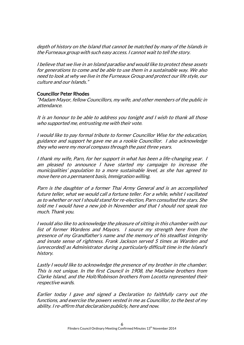depth of history on the Island that cannot be matched by many of the Islands in the Furneaux group with such easy access. I cannot wait to tell the story.

I believe that we live in an Island paradise and would like to protect these assets for generations to come and be able to use them in a sustainable way. We also need to look at why we live in the Furneaux Group and protect our life style, our culture and our Islands."

### Councillor Peter Rhodes

"Madam Mayor, fellow Councillors, my wife, and other members of the public in attendance.

It is an honour to be able to address you tonight and I wish to thank all those who supported me, entrusting me with their vote.

I would like to pay formal tribute to former Councillor Wise for the education, guidance and support he gave me as a rookie Councillor. I also acknowledge they who were my moral compass through the past three years.

I thank my wife, Parn, for her support in what has been a life-changing year. I am pleased to announce I have started my campaign to increase the municipalities' population to a more sustainable level, as she has agreed to move here on a permanent basis, Immigration willing.

Parn is the daughter of a former Thai Army General and is an accomplished future teller, what we would call a fortune teller. For a while, whilst I vacillated as to whether or not I should stand for re-election, Parn consulted the stars. She told me I would have a new job in November and that I should not speak too much. Thank you.

I would also like to acknowledge the pleasure of sitting in this chamber with our list of former Wardens and Mayors. I source my strength here from the presence of my Grandfather's name and the memory of his steadfast integrity and innate sense of rightness. Frank Jackson served 5 times as Warden and (unrecorded) as Administrator during a particularly difficult time in the Island's history.

Lastly I would like to acknowledge the presence of my brother in the chamber. This is not unique. In the first Council in 1908, the Maclaine brothers from Clarke Island, and the Holt/Robinson brothers from Locotta represented their respective wards.

Earlier today I gave and signed a Declaration to faithfully carry out the functions, and exercise the powers vested in me as Councillor, to the best of my ability. I re-affirm that declaration publicly, here and now.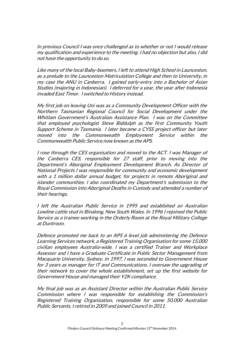In previous Council I was once challenged as to whether or not I would release my qualification and experience to the meeting. I had no objection but also, I did not have the opportunity to do so.

Like many of the local Baby-boomers, I left to attend High School in Launceston, as a prelude to the Launceston Matriculation College and then to University, in my case the ANU in Canberra. I gained early-entry into a Bachelor of Asian Studies (majoring in Indonesian). I deferred for a year, the year after Indonesia invaded East Timor. I switched to History instead.

My first job on leaving Uni was as a Community Development Officer with the Northern Tasmanian Regional Council for Social Development under the Whitlam Government's Australian Assistance Plan. I was on the Committee that employed psychologist Steve Biddulph as the first Community Youth Support Scheme in Tasmania. I later became a CYSS project officer but later moved into the Commonwealth Employment Service within the Commonwealth Public Service now known as the APS.

I rose through the CES organisation and moved to the ACT. I was Manager of the Canberra CES, responsible for 27 staff, prior to moving into the Department's Aboriginal Employment Development Branch. As Director of National Projects I was responsible for community and economic development with a 1 million dollar annual budget, for projects in remote Aboriginal and islander communities. I also coordinated my Department's submission to the Royal Commission into Aboriginal Deaths in Custody and attended a number of their hearings.

I left the Australian Public Service in 1995 and established an Australian Lowline cattle stud in Binalong, New South Wales. In 1996 I rejoined the Public Service as a trainee working in the Orderly Room at the Royal Military College at Duntroon.

Defence promoted me back to an APS 6 level job administering the Defence Learning Services network, a Registered Training Organisation for some 15,000 civilian employees Australia-wide. I was a certified Trainer and Workplace Assessor and I have a Graduate Certificate in Public Sector Management from Macquarie University, Sydney. In 1997, I was seconded to Government House for 3 years as manager for IT and Communications. I oversaw the upgrading of their network to cover the whole establishment, set up the first website for Government House and managed their Y2K compliance.

My final job was as an Assistant Director within the Australian Public Service Commission where I was responsible for establishing the Commission's Registered Training Organisation, responsible for some 50,000 Australian Public Servants. I retired in 2009 and joined Council in 2011.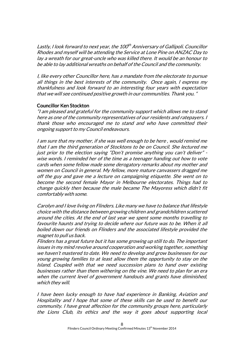Lastly, I look forward to next year, the 100<sup>th</sup> Anniversary of Gallipoli. Councillor Rhodes and myself will be attending the Service at Lone Pine on ANZAC Day to lay a wreath for our great-uncle who was killed there. It would be an honour to be able to lay additional wreaths on behalf of the Council and the community.

I, like every other Councillor here, has a mandate from the electorate to pursue all things in the best interests of the community. Once again, I express my thankfulness and look forward to an interesting four years with expectation that we will see continued positive growth in our communities. Thank you. "

### Councillor Ken Stockton

"I am pleased and grateful for the community support which allows me to stand here as one of the community representatives of our residents and ratepayers. I thank those who encouraged me to stand and who have committed their ongoing support to my Council endeavours.

I am sure that my mother, if she was well enough to be here , would remind me that I am the third generation of Stocktons to be on Council. She lectured me just prior to the election saying "Don't promise anything you can't deliver" wise words. I reminded her of the time as a teenager handing out how to vote cards when some fellow made some derogatory remarks about my mother and women on Council in general. My fellow, more mature canvassers dragged me off the guy and gave me a lecture on campaigning etiquette. She went on to become the second female Mayor in Melbourne electorates. Things had to change quickly then because the male became The Mayoress which didn't fit comfortably with some.

Carolyn and I love living on Flinders. Like many we have to balance that lifestyle choice with the distance between growing children and grandchildren scattered around the cities. At the end of last year we spent some months travelling to favourite haunts and trying to decide where our future was to be. When it all boiled down our friends on Flinders and the associated lifestyle provided the magnet to pull us back.

Flinders has a great future but it has some growing up still to do. The important issues in my mind revolve around cooperation and working together, something we haven't mastered to date. We need to develop and grow businesses for our young growing families to at least allow them the opportunity to stay on the Island. Coupled with that we need succession plans to hand over existing businesses rather than them withering on the vine. We need to plan for an era when the current level of government handouts and grants have diminished, which they will.

I have been lucky enough to have had experience in Banking, Aviation and Hospitality and I hope that some of these skills can be used to benefit our community. I have great affection for the community groups here, particularly the Lions Club, its ethics and the way it goes about supporting local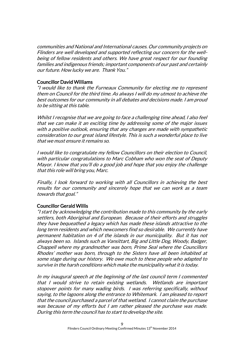communities and National and International causes. Our community projects on Flinders are well developed and supported reflecting our concern for the wellbeing of fellow residents and others. We have great respect for our founding families and indigenous friends; important components of our past and certainly our future. How lucky we are. Thank You."

### Councillor David Williams

"I would like to thank the Furneaux Community for electing me to represent them on Council for the third time. As always I will do my utmost to achieve the best outcomes for our community in all debates and decisions made. I am proud to be sitting at this table.

Whilst I recognise that we are going to face a challenging time ahead, I also feel that we can make it an exciting time by addressing some of the major issues with a positive outlook, ensuring that any changes are made with sympathetic consideration to our great island lifestyle. This is such a wonderful place to live that we must ensure it remains so.

I would like to congratulate my fellow Councillors on their election to Council, with particular congratulations to Marc Cobham who won the seat of Deputy Mayor. I know that you'll do a good job and hope that you enjoy the challenge that this role will bring you, Marc.

Finally, I look forward to working with all Councillors in achieving the best results for our community and sincerely hope that we can work as a team towards that goal."

### Councillor Gerald Willis

"I start by acknowledging the contribution made to this community by the early settlers, both Aboriginal and European. Because of their efforts and struggles they have bequeathed a legacy which has made these islands attractive to the long term residents and which newcomers find so desirable. We currently have permanent habitation on 4 of the islands in our municipality. But it has not always been so. Islands such as Vansittart, Big and Little Dog, Woody, Badger, Chappell where my grandmother was born, Prime Seal where the Councillors Rhodes' mother was born, through to the Sisters have all been inhabited at some stage during our history. We owe much to these people who adapted to survive in the harsh conditions which make the municipality what it is today.

In my inaugural speech at the beginning of the last council term I commented that I would strive to retain existing wetlands. Wetlands are important stopover points for many wading birds. I was referring specifically, without saying, to the lagoons along the entrance to Whitemark. I am pleased to report that the council purchased a parcel of that wetland. I cannot claim the purchase was because of my efforts but I am rather pleased the purchase was made. During this term the council has to start to develop the site.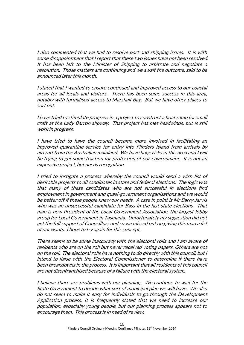I also commented that we had to resolve port and shipping issues. It is with some disappointment that I report that these two issues have not been resolved. It has been left to the Minister of Shipping to arbitrate and negotiate a resolution. Those matters are continuing and we await the outcome, said to be announced later this month.

I stated that I wanted to ensure continued and improved access to our coastal areas for all locals and visitors. There has been some success in this area, notably with formalised access to Marshall Bay. But we have other places to sort out.

I have tried to stimulate progress in a project to construct a boat ramp for small craft at the Lady Barron slipway. That project has met headwinds, but is still work in progress.

I have tried to have the council become more involved in facilitating an improved quarantine service for entry into Flinders Island from arrivals by aircraft from the Australian mainland. We have huge risks in this area and I will be trying to get some traction for protection of our environment. It is not an expensive project, but needs recognition.

I tried to instigate a process whereby the council would send a wish list of desirable projects to all candidates in state and federal elections. The logic was that many of these candidates who are not successful in elections find employment in government and quasi-government organisations and we would be better off if these people knew our needs. A case in point is Mr Barry Jarvis who was an unsuccessful candidate for Bass in the last state elections. That man is now President of the Local Government Association, the largest lobby group for Local Government in Tasmania. Unfortunately my suggestion did not get the full support of Councillors and so we missed out on giving this man a list of our wants. I hope to try again for this concept.

There seems to be some inaccuracy with the electoral rolls and I am aware of residents who are on the roll but never received voting papers. Others are not on the roll. The electoral rolls have nothing to do directly with this council, but I intend to liaise with the Electoral Commissioner to determine if there have been breakdowns in the process. It is important that all residents of this council are not disenfranchised because of a failure with the electoral system.

I believe there are problems with our planning. We continue to wait for the State Government to decide what sort of municipal plan we will have. We also do not seem to make it easy for individuals to go through the Development Application process. It is frequently stated that we need to increase our population, especially young people, but our planning process appears not to encourage them. This process is in need of review.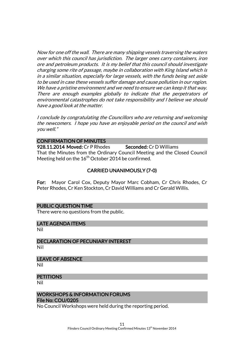Now for one off the wall. There are many shipping vessels traversing the waters over which this council has jurisdiction. The larger ones carry containers, iron ore and petroleum products. It is my belief that this council should investigate charging some rite of passage, maybe in collaboration with King Island which is in a similar situation, especially for large vessels, with the funds being set aside to be used in case these vessels suffer damage and cause pollution in our region. We have a pristine environment and we need to ensure we can keep it that way. There are enough examples globally to indicate that the perpetrators of environmental catastrophes do not take responsibility and I believe we should have a good look at the matter.

I conclude by congratulating the Councillors who are returning and welcoming the newcomers. I hope you have an enjoyable period on the council and wish you well."

#### CONFIRMATION OF MINUTES

928.11.2014 Moved: Cr P Rhodes Seconded: Cr D Williams That the Minutes from the Ordinary Council Meeting and the Closed Council Meeting held on the  $16<sup>th</sup>$  October 2014 be confirmed.

### CARRIED UNANIMOUSLY (7-0)

For: Mayor Carol Cox, Deputy Mayor Marc Cobham, Cr Chris Rhodes, Cr Peter Rhodes, Cr Ken Stockton, Cr David Williams and Cr Gerald Willis.

### PUBLIC QUESTION TIME

There were no questions from the public.

#### LATE AGENDA ITEMS

Nil

DECLARATION OF PECUNIARY INTEREST Nil

LEAVE OF ABSENCE

Nil

### **PETITIONS**

Nil

### WORKSHOPS & INFORMATION FORUMS File No: COU/0205

No Council Workshops were held during the reporting period.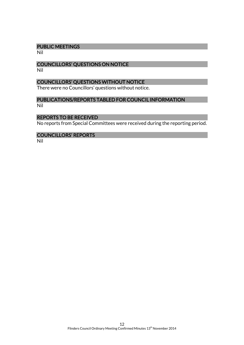### PUBLIC MEETINGS

Nil

### COUNCILLORS' QUESTIONS ON NOTICE

Nil

### COUNCILLORS' QUESTIONS WITHOUT NOTICE

There were no Councillors' questions without notice.

### PUBLICATIONS/REPORTS TABLED FOR COUNCIL INFORMATION

Nil

#### REPORTS TO BE RECEIVED

No reports from Special Committees were received during the reporting period.

#### COUNCILLORS' REPORTS

Nil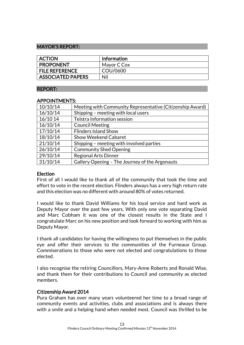### MAYOR'S REPORT:

| <b>ACTION</b>            | <b>Information</b> |
|--------------------------|--------------------|
| <b>PROPONENT</b>         | Mayor C Cox        |
| <b>FILE REFERENCE</b>    | COU/0600           |
| <b>ASSOCIATED PAPERS</b> | Nil                |

#### REPORT:

#### APPOINTMENTS:

| 10/10/14 | Meeting with Community Representative (Citizenship Award) |
|----------|-----------------------------------------------------------|
| 16/10/14 | Shipping - meeting with local users                       |
| 16/10 14 | Telstra Information session                               |
| 16/10/14 | <b>Council Meeting</b>                                    |
| 17/10/14 | <b>Flinders Island Show</b>                               |
| 18/10/14 | <b>Show Weekend Cabaret</b>                               |
| 21/10/14 | Shipping - meeting with involved parties                  |
| 26/10/14 | <b>Community Shed Opening</b>                             |
| 29/10/14 | <b>Regional Arts Dinner</b>                               |
| 31/10/14 | Gallery Opening - The Journey of the Argonauts            |

### Election

First of all I would like to thank all of the community that took the time and effort to vote in the recent election. Flinders always has a very high return rate and this election was no different with around 80% of votes returned.

I would like to thank David Williams for his loyal service and hard work as Deputy Mayor over the past few years. With only one vote separating David and Marc Cobham it was one of the closest results in the State and I congratulate Marc on his new position and look forward to working with him as Deputy Mayor.

I thank all candidates for having the willingness to put themselves in the public eye and offer their services to the communities of the Furneaux Group. Commiserations to those who were not elected and congratulations to those elected.

I also recognise the retiring Councillors, Mary-Anne Roberts and Ronald Wise, and thank them for their contributions to Council and community as elected members.

### Citizenship Award 2014

Pura Graham has over many years volunteered her time to a broad range of community events and activities, clubs and associations and is always there with a smile and a helping hand when needed most. Council was thrilled to be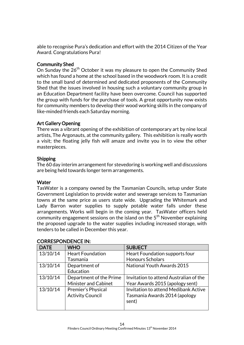able to recognise Pura's dedication and effort with the 2014 Citizen of the Year Award. Congratulations Pura!

### Community Shed

On Sunday the 26<sup>th</sup> October it was my pleasure to open the Community Shed which has found a home at the school based in the woodwork room. It is a credit to the small band of determined and dedicated proponents of the Community Shed that the issues involved in housing such a voluntary community group in an Education Department facility have been overcome. Council has supported the group with funds for the purchase of tools. A great opportunity now exists for community members to develop their wood working skills in the company of like-minded friends each Saturday morning.

### Art Gallery Opening

There was a vibrant opening of the exhibition of contemporary art by nine local artists, The Argonauts, at the community gallery. This exhibition is really worth a visit; the floating jelly fish will amaze and invite you in to view the other masterpieces.

### Shipping

The 60 day interim arrangement for stevedoring is working well and discussions are being held towards longer term arrangements.

### **Water**

TasWater is a company owned by the Tasmanian Councils, setup under State Government Legislation to provide water and sewerage services to Tasmanian towns at the same price as users state wide. Upgrading the Whitemark and Lady Barron water supplies to supply potable water falls under these arrangements. Works will begin in the coming year. TasWater officers held community engagement sessions on the island on the  $5<sup>th</sup>$  November explaining the proposed upgrade to the water supplies including increased storage, with tenders to be called in December this year.

| <b>DATE</b> | <b>WHO</b>                | <b>SUBJECT</b>                         |
|-------------|---------------------------|----------------------------------------|
| 13/10/14    | <b>Heart Foundation</b>   | Heart Foundation supports four         |
|             | Tasmania                  | <b>Honours Scholars</b>                |
| 13/10/14    | Department of             | National Youth Awards 2015             |
|             | Education                 |                                        |
| 13/10/14    | Department of the Prime   | Invitation to attend Australian of the |
|             | Minister and Cabinet      | Year Awards 2015 (apology sent)        |
| 13/10/14    | <b>Premier's Physical</b> | Invitation to attend Medibank Active   |
|             | <b>Activity Council</b>   | Tasmania Awards 2014 (apology          |
|             |                           | sent)                                  |
|             |                           |                                        |

### CORRESPONDENCE IN: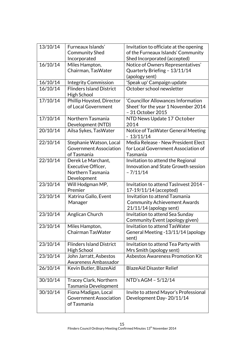| 13/10/14 | Furneaux Islands'               | Invitation to officiate at the opening                            |
|----------|---------------------------------|-------------------------------------------------------------------|
|          | <b>Community Shed</b>           | of the Furneaux Islands' Community                                |
| 16/10/14 | Incorporated<br>Miles Hampton,  | Shed Incorporated (accepted)<br>Notice of Owners Representatives' |
|          | Chairman, TasWater              | Quarterly Briefing - 13/11/14                                     |
|          |                                 | (apology sent)                                                    |
| 16/10/14 | <b>Integrity Commission</b>     | 'Speak up' Campaign update                                        |
| 16/10/14 | <b>Flinders Island District</b> | October school newsletter                                         |
|          | High School                     |                                                                   |
| 17/10/14 | Phillip Hoysted, Director       | 'Councillor Allowances Information                                |
|          | of Local Government             | Sheet' for the year 1 November 2014<br>- 31 October 2015          |
| 17/10/14 | Northern Tasmania               | NTD News Update 17 October                                        |
|          | Development (NTD)               | 2014                                                              |
| 20/10/14 | Ailsa Sykes, TasWater           | Notice of TasWater General Meeting                                |
|          |                                 | $-13/11/14$                                                       |
| 22/10/14 | Stephanie Watson, Local         | Media Release - New President Elect                               |
|          | <b>Government Association</b>   | for Local Government Association of                               |
|          | of Tasmania                     | Tasmania                                                          |
| 22/10/14 | Derek Le Marchant,              | Invitation to attend the Regional                                 |
|          | Executive Officer,              | Innovation and State Growth session                               |
|          | Northern Tasmania               | $-7/11/14$                                                        |
|          | Development                     |                                                                   |
| 23/10/14 | Will Hodgman MP,                | Invitation to attend TasInvest 2014 -                             |
|          | Premier                         | 17-19/11/14 (accepted)                                            |
| 23/10/14 | Katrina Gallo, Event            | Invitation to attend Tasmania                                     |
|          | Manager                         | <b>Community Achievement Awards</b>                               |
| 23/10/14 |                                 | 21/11/14 (apology sent)                                           |
|          | Anglican Church                 | Invitation to attend Sea Sunday                                   |
| 23/10/14 | Miles Hampton,                  | Community Event (apology given)<br>Invitation to attend TasWater  |
|          | Chairman TasWater               | General Meeting - 13/11/14 (apology                               |
|          |                                 | sent)                                                             |
| 23/10/14 | <b>Flinders Island District</b> | Invitation to attend Tea Party with                               |
|          | High School                     | Mrs Smith (apology sent)                                          |
| 23/10/14 | John Jarratt, Asbestos          | <b>Asbestos Awareness Promotion Kit</b>                           |
|          | Awareness Ambassador            |                                                                   |
| 26/10/14 | Kevin Butler, BlazeAid          | <b>BlazeAid Disaster Relief</b>                                   |
| 30/10/14 | <b>Tracey Clark, Northern</b>   | NTD's AGM - 5/12/14                                               |
|          | Tasmania Development            |                                                                   |
| 30/10/14 | Fiona Madigan, Local            | Invite to attend Mayor's Professional                             |
|          | <b>Government Association</b>   | Development Day-20/11/14                                          |
|          | of Tasmania                     |                                                                   |
|          |                                 |                                                                   |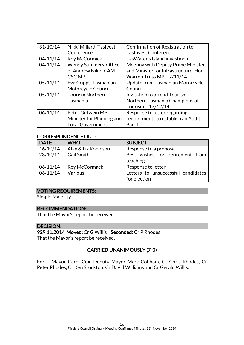| 31/10/14 | Nikki Millard, Taslvest   | Confirmation of Registration to      |
|----------|---------------------------|--------------------------------------|
|          | Conference                | <b>TasInvest Conference</b>          |
| 04/11/14 | Roy McCormick             | Tas Water's Island investment        |
| 04/11/14 | Wendy Summers, Office     | Meeting with Deputy Prime Minister   |
|          | of Andrew Nikolic AM      | and Minister for Infrastructure, Hon |
|          | <b>CSC MP</b>             | Warren Truss MP - 7/11/14            |
| 05/11/14 | Eva Cripps, Tasmanian     | Update from Tasmanian Motorcycle     |
|          | Motorcycle Council        | Council                              |
| 05/11/14 | <b>Tourism Northern</b>   | Invitation to attend Tourism         |
|          | Tasmania                  | Northern Tasmania Champions of       |
|          |                           | Tourism - 17/12/14                   |
| 06/11/14 | Peter Gutwein MP,         | Response to letter regarding         |
|          | Minister for Planning and | requirements to establish an Audit   |
|          | <b>Local Government</b>   | Panel                                |

### CORRESPONDENCE OUT:

| <b>DATE</b> | <b>WHO</b>          | <b>SUBJECT</b>                     |
|-------------|---------------------|------------------------------------|
| 16/10/14    | Alan & Liz Robinson | Response to a proposal             |
| 28/10/14    | <b>Gail Smith</b>   | Best wishes for retirement from    |
|             |                     | teaching                           |
| 06/11/14    | Roy McCormack       | Response to letter                 |
| 06/11/14    | Various             | Letters to unsuccessful candidates |
|             |                     | for election                       |

### VOTING REQUIREMENTS:

Simple Majority

### RECOMMENDATION:

That the Mayor's report be received.

### DECISION:

929.11.2014 Moved: Cr G Willis Seconded: Cr P Rhodes That the Mayor's report be received.

### CARRIED UNANIMOUSLY (7-0)

For: Mayor Carol Cox, Deputy Mayor Marc Cobham, Cr Chris Rhodes, Cr Peter Rhodes, Cr Ken Stockton, Cr David Williams and Cr Gerald Willis.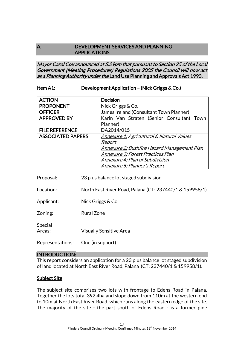### A. DEVELOPMENT SERVICES AND PLANNING APPLICATIONS

### Mayor Carol Cox announced at 5.29pm that pursuant to Section 25 of the Local Government (Meeting Procedures) Regulations 2005 the Council will now act as a Planning Authority under the Land Use Planning and Approvals Act 1993.

### Item A1: Development Application – (Nick Griggs & Co.)

| <b>ACTION</b>            | <b>Decision</b>                             |  |  |  |
|--------------------------|---------------------------------------------|--|--|--|
| <b>PROPONENT</b>         | Nick Griggs & Co.                           |  |  |  |
| <b>OFFICER</b>           | James Ireland (Consultant Town Planner)     |  |  |  |
| <b>APPROVED BY</b>       | Karin Van Straten (Senior Consultant Town   |  |  |  |
|                          | Planner)                                    |  |  |  |
| <b>FILE REFERENCE</b>    | DA2014/015                                  |  |  |  |
| <b>ASSOCIATED PAPERS</b> | Annexure 1: Agricultural & Natural Values   |  |  |  |
|                          | Report                                      |  |  |  |
|                          | Annexure 2: Bushfire Hazard Management Plan |  |  |  |
|                          | Annexure 3: Forest Practices Plan           |  |  |  |
|                          | Annexure 4: Plan of Subdivision             |  |  |  |
|                          | Annexure 5: Planner's Report                |  |  |  |
| Deonocoli                | 00 slue halanes let steged subdivision      |  |  |  |

Proposal: 23 plus balance lot staged subdivision

Location: North East River Road, Palana (CT: 237440/1 & 159958/1)

Applicant: Nick Griggs & Co.

Zoning: Rural Zone

Special Areas: Visually Sensitive Area

Representations: One (in support)

### INTRODUCTION:

This report considers an application for a 23 plus balance lot staged subdivision of land located at North East River Road, Palana (CT: 237440/1 & 159958/1).

### **Subject Site**

The subject site comprises two lots with frontage to Edens Road in Palana. Together the lots total 392.4ha and slope down from 110m at the western end to 10m at North East River Road, which runs along the eastern edge of the site. The majority of the site - the part south of Edens Road - is a former pine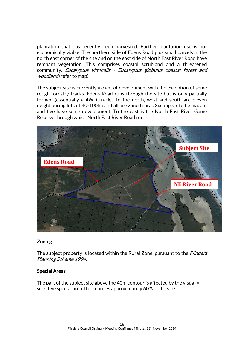plantation that has recently been harvested. Further plantation use is not economically viable. The northern side of Edens Road plus small parcels in the north east corner of the site and on the east side of North East River Road have remnant vegetation. This comprises coastal scrubland and a threatened community, Eucalyptus viminalis - Eucalyptus globulus coastal forest and woodland (refer to map).

The subject site is currently vacant of development with the exception of some rough forestry tracks. Edens Road runs through the site but is only partially formed (essentially a 4WD track). To the north, west and south are eleven neighbouring lots of 40-100ha and all are zoned rural. Six appear to be vacant and five have some development. To the east is the North East River Game Reserve through which North East River Road runs.



### Zoning

The subject property is located within the Rural Zone, pursuant to the *Flinders* Planning Scheme 1994.

### Special Areas

The part of the subject site above the 40m contour is affected by the visually sensitive special area. It comprises approximately 60% of the site.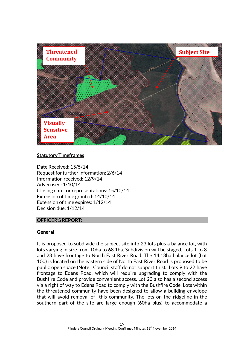

### **Statutory Timeframes**

Date Received: 15/5/14 Request for further information: 2/6/14 Information received: 12/9/14 Advertised: 1/10/14 Closing date for representations: 15/10/14 Extension of time granted: 14/10/14 Extension of time expires: 1/12/14 Decision due: 1/12/14

### OFFICER'S REPORT:

### General

It is proposed to subdivide the subject site into 23 lots plus a balance lot, with lots varying in size from 10ha to 68.1ha. Subdivision will be staged. Lots 1 to 8 and 23 have frontage to North East River Road. The 14.13ha balance lot (Lot 100) is located on the eastern side of North East River Road is proposed to be public open space (Note: Council staff do not support this). Lots 9 to 22 have frontage to Edens Road, which will require upgrading to comply with the Bushfire Code and provide convenient access. Lot 23 also has a second access via a right of way to Edens Road to comply with the Bushfire Code. Lots within the threatened community have been designed to allow a building envelope that will avoid removal of this community. The lots on the ridgeline in the southern part of the site are large enough (60ha plus) to accommodate a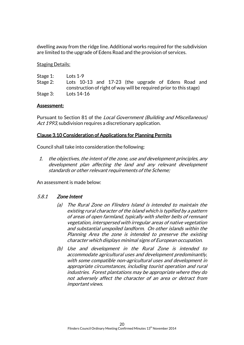dwelling away from the ridge line. Additional works required for the subdivision are limited to the upgrade of Edens Road and the provision of services.

**Staging Details:** 

| Stage 1: | Lots $1-9$ |  |  |                                                                    |  |  |
|----------|------------|--|--|--------------------------------------------------------------------|--|--|
| Stage 2: |            |  |  | Lots 10-13 and 17-23 (the upgrade of Edens Road and                |  |  |
|          |            |  |  | construction of right of way will be required prior to this stage) |  |  |
| Stage 3: | Lots 14-16 |  |  |                                                                    |  |  |

### Assessment:

Pursuant to Section 81 of the Local Government (Building and Miscellaneous) Act 1993, subdivision requires a discretionary application.

### Clause 3.10 Consideration of Applications for Planning Permits

Council shall take into consideration the following:

1. the objectives, the intent of the zone, use and development principles, any development plan affecting the land and any relevant development standards or other relevant requirements of the Scheme;

An assessment is made below:

### 5.8.1 Zone Intent

- (a) The Rural Zone on Flinders Island is intended to maintain the existing rural character of the island which is typified by a pattern of areas of open farmland, typically with shelter belts of remnant vegetation, interspersed with irregular areas of native vegetation and substantial unspoiled landform. On other islands within the Planning Area the zone is intended to preserve the existing character which displays minimal signs of European occupation.
- (b) Use and development in the Rural Zone is intended to accommodate agricultural uses and development predominantly, with some compatible non-agricultural uses and development in appropriate circumstances, including tourist operation and rural industries. Forest plantations may be appropriate where they do not adversely affect the character of an area or detract from important views.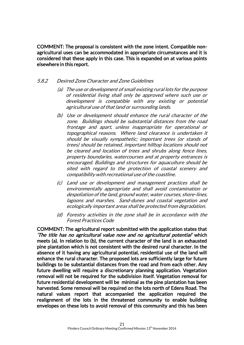COMMENT: The proposal is consistent with the zone intent. Compatible nonagricultural uses can be accommodated in appropriate circumstances and it is considered that these apply in this case. This is expanded on at various points elsewhere in this report.

### 5.8.2 Desired Zone Character and Zone Guidelines

- (a) The use or development of small existing rural lots for the purpose of residential living shall only be approved where such use or development is compatible with any existing or potential agricultural use of that land or surrounding lands.
- (b) Use or development should enhance the rural character of the zone. Buildings should be substantial distances from the road frontage and apart, unless inappropriate for operational or topographical reasons. Where land clearance is undertaken it should be visually sympathetic; important trees (or stands of trees) should be retained, important hilltop locations should not be cleared and location of trees and shrubs along fence lines, property boundaries, watercourses and at property entrances is encouraged. Buildings and structures for aquaculture should be sited with regard to the protection of coastal scenery and compatibility with recreational use of the coastline.
- (c) Land use or development and management practices shall be environmentally appropriate and shall avoid contamination or despoliation of the land, ground water, water courses, shore-lines, lagoons and marshes. Sand-dunes and coastal vegetation and ecologically important areas shall be protected from degradation.
- (d) Forestry activities in the zone shall be in accordance with the Forest Practices Code

COMMENT: The agricultural report submitted with the application states that 'The title has no agricultural value now and no agricultural potential' which meets (a). In relation to (b), the current character of the land is an exhausted pine plantation which is not consistent with the desired rural character. In the absence of it having any agricultural potential, residential use of the land will enhance the rural character. The proposed lots are sufficiently large for future buildings to be substantial distances from the road and from each other. Any future dwelling will require a discretionary planning application. Vegetation removal will not be required for the subdivision itself. Vegetation removal for future residential development will be minimal as the pine plantation has been harvested. Some removal will be required on the lots north of Edens Road. The natural values report that accompanied the application required the realignment of the lots in the threatened community to enable building envelopes on these lots to avoid removal of this community and this has been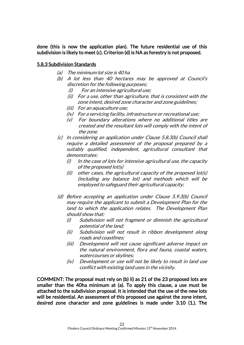done (this is now the application plan). The future residential use of this subdivision is likely to meet (c). Criterion (d) is NA as forestry is not proposed.

### 5.8.3 Subdivision Standards

- (a) The minimum lot size is 40 ha
- (b) A lot less than 40 hectares may be approved at Council's discretion for the following purposes;
	- (i) For an intensive agricultural use;
	- (ii) For a use, other than agriculture, that is consistent with the zone intent, desired zone character and zone guidelines;
	- (iii) For an aquaculture use;
	- (iv) For a servicing facility, infrastructure or recreational use;
	- (v) For boundary alterations where no additional titles are created and the resultant lots will comply with the intent of the zone.
- (c) In considering an application under Clause 5.8.3(b) Council shall require a detailed assessment of the proposal prepared by a suitably qualified, independent, agricultural consultant that demonstrates:
	- $(i)$  In the case of lots for intensive agricultural use, the capacity of the proposed lot(s)
	- (ii) other cases, the agricultural capacity of the proposed lot(s) (including any balance lot) and methods which will be employed to safeguard their agricultural capacity;
- (d) Before accepting an application under Clause 5.9.3(b) Council may require the applicant to submit a Development Plan for the land to which the application relates. The Development Plan should show that:
	- (i) Subdivision will not fragment or diminish the agricultural potential of the land;
	- (ii) Subdivision will not result in ribbon development along roads and coastlines;
	- (iii) Development will not cause significant adverse impact on the natural environment, flora and fauna, coastal waters, watercourses or skylines;
	- (iv) Development or use will not be likely to result in land use conflict with existing land uses in the vicinity.

COMMENT: The proposal must rely on (b) ii) as 21 of the 23 proposed lots are smaller than the 40ha minimum at (a). To apply this clause, a use must be attached to the subdivision proposal. It is intended that the use of the new lots will be residential. An assessment of this proposed use against the zone intent, desired zone character and zone guidelines is made under 3.10 (1.). The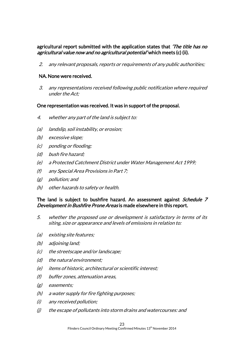### agricultural report submitted with the application states that 'The title has no agricultural value now and no agricultural potential' which meets (c) (ii).

2. any relevant proposals, reports or requirements of any public authorities;

### NA. None were received.

3. any representations received following public notification where required under the Act;

### One representation was received. It was in support of the proposal.

- 4. whether any part of the land is subject to:
- (a) landslip, soil instability, or erosion;
- (b) excessive slope;
- (c) ponding or flooding;
- (d) bush fire hazard;
- (e) a Protected Catchment District under Water Management Act 1999;
- (f) any Special Area Provisions in Part 7;
- (g) pollution; and
- (h) other hazards to safety or health.

### The land is subject to bushfire hazard. An assessment against *Schedule 7* Development in Bushfire Prone Areas is made elsewhere in this report.

- 5. whether the proposed use or development is satisfactory in terms of its siting, size or appearance and levels of emissions in relation to:
- (a) existing site features;
- (b) adjoining land;
- (c) the streetscape and/or landscape;
- (d) the natural environment;
- (e) items of historic, architectural or scientific interest;
- (f) buffer zones, attenuation areas,
- (g) easements;
- (h) a water supply for fire fighting purposes;
- (i) any received pollution;
- (j) the escape of pollutants into storm drains and watercourses: and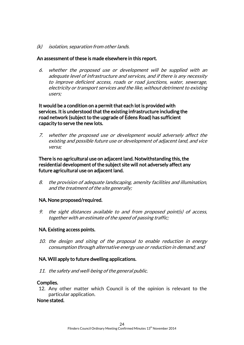(k) isolation, separation from other lands.

### An assessment of these is made elsewhere in this report.

6. whether the proposed use or development will be supplied with an adequate level of infrastructure and services, and if there is any necessity to improve deficient access, roads or road junctions, water, sewerage, electricity or transport services and the like, without detriment to existing users;

It would be a condition on a permit that each lot is provided with services. It is understood that the existing infrastructure including the road network (subject to the upgrade of Edens Road) has sufficient capacity to serve the new lots.

7. whether the proposed use or development would adversely affect the existing and possible future use or development of adjacent land, and vice versa;

### There is no agricultural use on adjacent land. Notwithstanding this, the residential development of the subject site will not adversely affect any future agricultural use on adjacent land.

8. the provision of adequate landscaping, amenity facilities and illumination, and the treatment of the site generally;

### NA. None proposed/required.

9. the sight distances available to and from proposed point(s) of access, together with an estimate of the speed of passing traffic;

### NA. Existing access points.

10. the design and siting of the proposal to enable reduction in energy consumption through alternative energy use or reduction in demand; and

### NA. Will apply to future dwelling applications.

11. the safety and well-being of the general public.

### Complies.

12. Any other matter which Council is of the opinion is relevant to the particular application.

### None stated.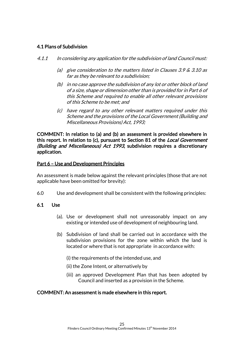### 4.1 Plans of Subdivision

- 4.1.1 In considering any application for the subdivision of land Council must:
	- (a) give consideration to the matters listed in Clauses 3.9  $\&$  3.10 as far as they be relevant to a subdivision;
	- (b) in no case approve the subdivision of any lot or other block of land of a size, shape or dimension other than is provided for in Part 6 of this Scheme and required to enable all other relevant provisions of this Scheme to be met; and
	- (c) have regard to any other relevant matters required under this Scheme and the provisions of the Local Government (Building and Miscellaneous Provisions) Act, 1993;

COMMENT: In relation to (a) and (b) an assessment is provided elsewhere in this report. In relation to (c), pursuant to Section 81 of the *Local Government* (Building and Miscellaneous) Act 1993, subdivision requires a discretionary application.

### Part 6 – Use and Development Principles

An assessment is made below against the relevant principles (those that are not applicable have been omitted for brevity):

6.0 Use and development shall be consistent with the following principles:

### 6.1 Use

- (a). Use or development shall not unreasonably impact on any existing or intended use of development of neighbouring land.
- (b) Subdivision of land shall be carried out in accordance with the subdivision provisions for the zone within which the land is located or where that is not appropriate in accordance with:
	- (i) the requirements of the intended use, and
	- (ii) the Zone Intent, or alternatively by
	- (iii) an approved Development Plan that has been adopted by Council and inserted as a provision in the Scheme.

### COMMENT: An assessment is made elsewhere in this report.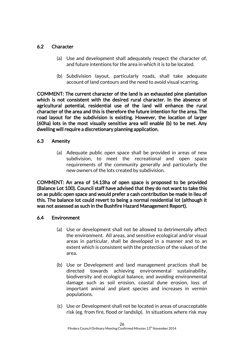### 6.2 Character

- (a) Use and development shall adequately respect the character of, and future intentions for the area in which it is to be located.
- (b) Subdivision layout, particularly roads, shall take adequate account of land contours and the need to avoid visual scarring.

COMMENT: The current character of the land is an exhausted pine plantation which is not consistent with the desired rural character. In the absence of agricultural potential, residential use of the land will enhance the rural character of the area and this is therefore the future intention for the area. The road layout for the subdivision is existing. However, the location of larger (60ha) lots in the most visually sensitive area will enable (b) to be met. Any dwelling will require a discretionary planning application.

### 6.3 Amenity

(a) Adequate public open space shall be provided in areas of new subdivision, to meet the recreational and open space requirements of the community generally and particularly the new owners of the lots created by subdivision.

COMMENT: An area of 14.13ha of open space is proposed to be provided (Balance Lot 100). Council staff have advised that they do not want to take this on as public open space and would prefer a cash contribution be made in lieu of this. The balance lot could revert to being a normal residential lot (although it was not assessed as such in the Bushfire Hazard Management Report).

### 6.4 Environment

- (a) Use or development shall not be allowed to detrimentally affect the environment. All areas, and sensitive ecological and/or visual areas in particular, shall be developed in a manner and to an extent which is consistent with the protection of the values of the area.
- (b) Use or Development and land management practices shall be directed towards achieving environmental sustainability, biodiversity and ecological balance, and avoiding environmental damage such as soil erosion, coastal dune erosion, loss of important animal and plant species and increases in vermin populations.
- (c) Use or Development shall not be located in areas of unacceptable risk (eg. from fire, flood or landslip). In situations where risk may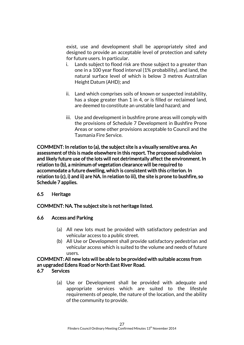exist, use and development shall be appropriately sited and designed to provide an acceptable level of protection and safety for future users. In particular.

- i. Lands subject to flood risk are those subject to a greater than one in a 100 year flood interval (1% probability), and land, the natural surface level of which is below 3 metres Australian Height Datum (AHD); and
- ii. Land which comprises soils of known or suspected instability, has a slope greater than 1 in 4, or is filled or reclaimed land, are deemed to constitute an unstable land hazard; and
- iii. Use and development in bushfire prone areas will comply with the provisions of Schedule 7 Development in Bushfire Prone Areas or some other provisions acceptable to Council and the Tasmania Fire Service.

COMMENT: In relation to (a), the subject site is a visually sensitive area. An assessment of this is made elsewhere in this report. The proposed subdivision and likely future use of the lots will not detrimentally affect the environment. In relation to (b), a minimum of vegetation clearance will be required to accommodate a future dwelling, which is consistent with this criterion. In relation to (c), i) and ii) are NA. In relation to iii), the site is prone to bushfire, so Schedule 7 applies.

### 6.5 Heritage

### COMMENT: NA. The subject site is not heritage listed.

### 6.6 Access and Parking

- (a) All new lots must be provided with satisfactory pedestrian and vehicular access to a public street.
- (b) All Use or Development shall provide satisfactory pedestrian and vehicular access which is suited to the volume and needs of future users.

### COMMENT: All new lots will be able to be provided with suitable access from an upgraded Edens Road or North East River Road.

### 6.7 Services

(a) Use or Development shall be provided with adequate and appropriate services which are suited to the lifestyle requirements of people, the nature of the location, and the ability of the community to provide.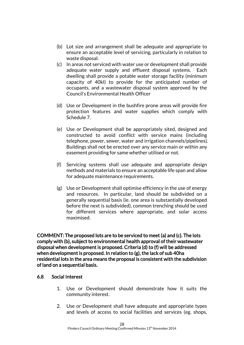- (b) Lot size and arrangement shall be adequate and appropriate to ensure an acceptable level of servicing, particularly in relation to waste disposal.
- (c) In areas not serviced with water use or development shall provide adequate water supply and effluent disposal systems. Each dwelling shall provide a potable water storage facility (minimum capacity of 40kl) to provide for the anticipated number of occupants, and a wastewater disposal system approved by the Council's Environmental Health Officer
- (d) Use or Development in the bushfire prone areas will provide fire protection features and water supplies which comply with Schedule 7.
- (e) Use or Development shall be appropriately sited, designed and constructed to avoid conflict with service mains (including telephone, power, sewer, water and irrigation channels/pipelines). Buildings shall not be erected over any service main or within any easement providing for same whether utilised or not.
- (f) Servicing systems shall use adequate and appropriate design methods and materials to ensure an acceptable life span and allow for adequate maintenance requirements.
- (g) Use or Development shall optimise efficiency in the use of energy and resources. In particular, land should be subdivided on a generally sequential basis (ie. one area is substantially developed before the next is subdivided), common trenching should be used for different services where appropriate, and solar access maximised.

COMMENT: The proposed lots are to be serviced to meet (a) and (c). The lots comply with (b), subject to environmental health approval of their wastewater disposal when development is proposed. Criteria (d) to (f) will be addressed when development is proposed. In relation to (g), the lack of sub 40ha residential lots in the area means the proposal is consistent with the subdivision of land on a sequential basis.

### 6.8 Social Interest

- 1. Use or Development should demonstrate how it suits the community interest.
- 2. Use or Development shall have adequate and appropriate types and levels of access to social facilities and services (eg. shops,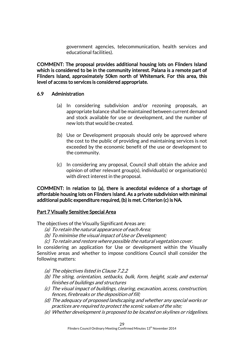government agencies, telecommunication, health services and educational facilities).

COMMENT: The proposal provides additional housing lots on Flinders Island which is considered to be in the community interest. Palana is a remote part of Flinders Island, approximately 50km north of Whitemark. For this area, this level of access to services is considered appropriate.

### 6.9 Administration

- (a) In considering subdivision and/or rezoning proposals, an appropriate balance shall be maintained between current demand and stock available for use or development, and the number of new lots that would be created.
- (b) Use or Development proposals should only be approved where the cost to the public of providing and maintaining services is not exceeded by the economic benefit of the use or development to the community.
- (c) In considering any proposal, Council shall obtain the advice and opinion of other relevant group(s), individual(s) or organisation(s) with direct interest in the proposal.

COMMENT: In relation to (a), there is anecdotal evidence of a shortage of affordable housing lots on Flinders Island. As a private subdivision with minimal additional public expenditure required, (b) is met. Criterion (c) is NA.

### Part 7 Visually Sensitive Special Area

The objectives of the Visually Significant Areas are:

- (a) To retain the natural appearance of each Area;
- (b) To minimise the visual impact of Use or Development;
- (c) To retain and restore where possible the natural vegetation cover.

In considering an application for Use or development within the Visually Sensitive areas and whether to impose conditions Council shall consider the following matters:

- (a) The objectives listed in Clause 7.2.2
- (b) The siting, orientation, setbacks, bulk, form, height, scale and external finishes of buildings and structures
- (c) The visual impact of buildings, clearing, excavation, access, construction, fences, firebreaks or the deposition of fill;
- (d) The adequacy of proposed landscaping and whether any special works or practices are required to protect the scenic values of the site;
- (e) Whether development is proposed to be located on skylines or ridgelines.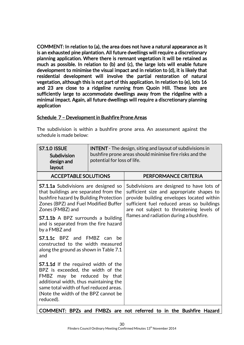COMMENT: In relation to (a), the area does not have a natural appearance as it is an exhausted pine plantation. All future dwellings will require a discretionary planning application. Where there is remnant vegetation it will be retained as much as possible. In relation to (b) and (c), the large lots will enable future development to minimise the visual impact and in relation to (d), it is likely that residential development will involve the partial restoration of natural vegetation, although this is not part of this application. In relation to (e), lots 16 and 23 are close to a ridgeline running from Quoin Hill. These lots are sufficiently large to accommodate dwellings away from the ridgeline with a minimal impact. Again, all future dwellings will require a discretionary planning application

### Schedule 7 – Development in Bushfire Prone Areas

The subdivision is within a bushfire prone area. An assessment against the schedule is made below:

| <b>S7.1.0 ISSUE</b><br>Subdivision<br>design and<br>layout                                                                                                                                                                                                                       | <b>INTENT</b> - The design, siting and layout of subdivisions in<br>bushfire prone areas should minimise fire risks and the<br>potential for loss of life. |                                                                                                                                                                                                                                                                          |  |  |
|----------------------------------------------------------------------------------------------------------------------------------------------------------------------------------------------------------------------------------------------------------------------------------|------------------------------------------------------------------------------------------------------------------------------------------------------------|--------------------------------------------------------------------------------------------------------------------------------------------------------------------------------------------------------------------------------------------------------------------------|--|--|
| <b>ACCEPTABLE SOLUTIONS</b>                                                                                                                                                                                                                                                      |                                                                                                                                                            | PERFORMANCE CRITERIA                                                                                                                                                                                                                                                     |  |  |
| <b>S7.1.1a</b> Subdivisions are designed so<br>that buildings are separated from the<br>bushfire hazard by Building Protection<br>Zones (BPZ) and Fuel Modified Buffer<br>Zones (FMBZ) and<br><b>S7.1.1b</b> A BPZ surrounds a building<br>and is separated from the fire hazard |                                                                                                                                                            | Subdivisions are designed to have lots of<br>sufficient size and appropriate shapes to<br>provide building envelopes located within<br>sufficient fuel reduced areas so buildings<br>are not subject to threatening levels of<br>flames and radiation during a bushfire. |  |  |
| by a FMBZ and<br>$S7.1.1c$ BPZ and<br>constructed to the width measured<br>along the ground as shown in Table 7.1<br>and                                                                                                                                                         | FMBZ can<br>be                                                                                                                                             |                                                                                                                                                                                                                                                                          |  |  |
| <b>S7.1.1d</b> If the required width of the<br>BPZ is exceeded, the width of the<br>FMBZ may be reduced by that<br>additional width, thus maintaining the<br>same total width of fuel reduced areas.<br>(Note the width of the BPZ cannot be<br>reduced).                        |                                                                                                                                                            |                                                                                                                                                                                                                                                                          |  |  |
|                                                                                                                                                                                                                                                                                  |                                                                                                                                                            |                                                                                                                                                                                                                                                                          |  |  |

COMMENT: BPZs and FMBZs are not referred to in the Bushfire Hazard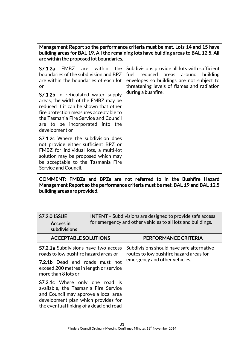Management Report so the performance criteria must be met. Lots 14 and 15 have building areas for BAL 19. All the remaining lots have building areas to BAL 12.5. All are within the proposed lot boundaries.

| FMBZ<br>within<br>S7.1.2a<br>are<br>the<br>boundaries of the subdivision and BPZ<br>are within the boundaries of each lot<br>or<br><b>S7.1.2b</b> In reticulated water supply<br>areas, the width of the FMBZ may be<br>reduced if it can be shown that other<br>fire protection measures acceptable to<br>the Tasmania Fire Service and Council<br>are to be incorporated into the<br>development or | Subdivisions provide all lots with sufficient<br>reduced areas around<br>fuel<br>building<br>envelopes so buildings are not subject to<br>threatening levels of flames and radiation<br>during a bushfire. |
|-------------------------------------------------------------------------------------------------------------------------------------------------------------------------------------------------------------------------------------------------------------------------------------------------------------------------------------------------------------------------------------------------------|------------------------------------------------------------------------------------------------------------------------------------------------------------------------------------------------------------|
| <b>S7.1.2c</b> Where the subdivision does<br>not provide either sufficient BPZ or<br>FMBZ for individual lots, a multi-lot<br>solution may be proposed which may<br>be acceptable to the Tasmania Fire<br>Service and Council.                                                                                                                                                                        |                                                                                                                                                                                                            |

COMMENT: FMBZs and BPZs are not referred to in the Bushfire Hazard Management Report so the performance criteria must be met. BAL 19 and BAL 12.5 building areas are provided.

| <b>S7.2.0 ISSUE</b><br>Access in<br>subdivisions                                                                                                                                                        | <b>INTENT</b> – Subdivisions are designed to provide safe access<br>for emergency and other vehicles to all lots and buildings. |                                                                                                                       |  |
|---------------------------------------------------------------------------------------------------------------------------------------------------------------------------------------------------------|---------------------------------------------------------------------------------------------------------------------------------|-----------------------------------------------------------------------------------------------------------------------|--|
| <b>ACCEPTABLE SOLUTIONS</b>                                                                                                                                                                             |                                                                                                                                 | PERFORMANCE CRITERIA                                                                                                  |  |
| <b>S7.2.1a</b> Subdivisions have two access<br>roads to low bushfire hazard areas or<br><b>7.2.1b</b> Dead end roads must not<br>exceed 200 metres in length or service<br>more than 8 lots or          |                                                                                                                                 | Subdivisions should have safe alternative<br>routes to low bushfire hazard areas for<br>emergency and other vehicles. |  |
| <b>S7.2.1c</b> Where only one road is<br>available, the Tasmania Fire Service<br>and Council may approve a local area<br>development plan which provides for<br>the eventual linking of a dead end road |                                                                                                                                 |                                                                                                                       |  |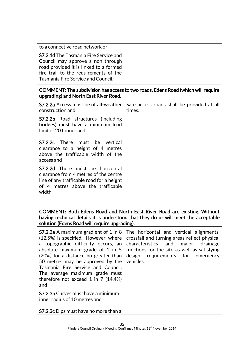|                                                                                                                                                                                                            | $\sim$ $\sim$ |
|------------------------------------------------------------------------------------------------------------------------------------------------------------------------------------------------------------|---------------|
| <b>S7.2.1d</b> The Tasmania Fire Service and<br>Council may approve a non through<br>road provided it is linked to a formed<br>fire trail to the requirements of the<br>Tasmania Fire Service and Council. |               |
| to a connective road network or                                                                                                                                                                            |               |
|                                                                                                                                                                                                            |               |

### COMMENT: The subdivision has access to two roads, Edens Road (which will require upgrading) and North East River Road.

| construction and                                                                                                                                                             | <b>S7.2.2a</b> Access must be of all-weather   Safe access roads shall be provided at all<br>times. |  |  |
|------------------------------------------------------------------------------------------------------------------------------------------------------------------------------|-----------------------------------------------------------------------------------------------------|--|--|
| <b>S7.2.2b</b> Road structures (including<br>bridges) must have a minimum load<br>limit of 20 tonnes and                                                                     |                                                                                                     |  |  |
| <b>S7.2.2c</b> There must be vertical<br>clearance to a height of 4 metres<br>above the trafficable width of the<br>access and                                               |                                                                                                     |  |  |
| <b>S7.2.2d</b> There must be horizontal<br>clearance from 4 metres of the centre<br>line of any trafficable road for a height<br>of 4 metres above the trafficable<br>width. |                                                                                                     |  |  |
| COMMENT: Both Edens Road and North East River Road are existing. Without<br>having technical details it is understood that they do or will meet the acceptable               |                                                                                                     |  |  |

solution (Edens Road will require upgrading). S7.2.3a A maximum gradient of 1 in 8 (12.5%) is specified. However, where a topographic difficulty occurs, an absolute maximum grade of 1 in 5 (20%) for a distance no greater than 50 metres may be approved by the Tasmania Fire Service and Council. The average maximum grade must therefore not exceed 1 in 7 (14.4%) and S7.2.3b Curves must have a minimum inner radius of 10 metres and S7.2.3c Dips must have no more than a The horizontal and vertical alignments, crossfall and turning areas reflect physical characteristics and major drainage functions for the site as well as satisfying design requirements for emergency vehicles.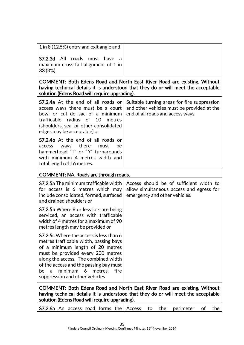| 1 in 8 (12.5%) entry and exit angle and                                                                                                                                                                                                                                                                                                          |                                                                                                                                                                |
|--------------------------------------------------------------------------------------------------------------------------------------------------------------------------------------------------------------------------------------------------------------------------------------------------------------------------------------------------|----------------------------------------------------------------------------------------------------------------------------------------------------------------|
| S7.2.3d All<br>roads<br>must have<br>- a<br>maximum cross fall alignment of 1 in<br>33 (3%).                                                                                                                                                                                                                                                     |                                                                                                                                                                |
| solution (Edens Road will require upgrading).                                                                                                                                                                                                                                                                                                    | COMMENT: Both Edens Road and North East River Road are existing. Without<br>having technical details it is understood that they do or will meet the acceptable |
| <b>S7.2.4a</b> At the end of all roads or<br>access ways there must be a court<br>bowl or cul de sac of a minimum<br>trafficable radius of<br>10<br>metres<br>(shoulders, seal or other consolidated<br>edges may be acceptable) or                                                                                                              | Suitable turning areas for fire suppression<br>and other vehicles must be provided at the<br>end of all roads and access ways.                                 |
| <b>S7.2.4b</b> At the end of all roads or<br>there<br>be<br>access<br>ways<br>must<br>hammerhead "T" or "Y" turnarounds<br>with minimum 4 metres width and<br>total length of 16 metres.                                                                                                                                                         |                                                                                                                                                                |
| COMMENT: NA. Roads are through roads.                                                                                                                                                                                                                                                                                                            |                                                                                                                                                                |
| <b>S7.2.5a</b> The minimum trafficable width<br>for access is 6 metres which may<br>include consolidated, formed, surfaced<br>and drained shoulders or                                                                                                                                                                                           | Access should be of sufficient width to<br>allow simultaneous access and egress for<br>emergency and other vehicles.                                           |
| <b>S7.2.5b</b> Where 8 or less lots are being<br>serviced, an access with trafficable<br>width of 4 metres for a maximum of 90<br>metres length may be provided or                                                                                                                                                                               |                                                                                                                                                                |
| <b>S7.2.5c</b> Where the access is less than 6<br>metres trafficable width, passing bays<br>of a minimum length of 20 metres<br>must be provided every 200 metres<br>along the access. The combined width<br>of the access and the passing bay must<br>minimum<br>fire<br>6<br>metres.<br>be<br>$\overline{a}$<br>suppression and other vehicles |                                                                                                                                                                |
| solution (Edens Road will require upgrading).                                                                                                                                                                                                                                                                                                    | COMMENT: Both Edens Road and North East River Road are existing. Without<br>having technical details it is understood that they do or will meet the acceptable |
| <b>S7.2.6a</b> An access road forms the                                                                                                                                                                                                                                                                                                          | the<br>perimeter<br>the<br>Access<br>to<br>of                                                                                                                  |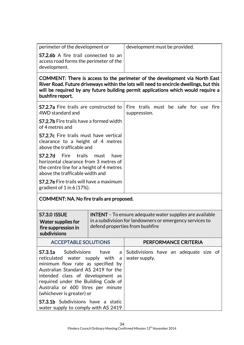| perimeter of the development or                                                                       | development must be provided. |
|-------------------------------------------------------------------------------------------------------|-------------------------------|
| <b>S7.2.6b</b> A fire trail connected to an<br>access road forms the perimeter of the<br>development. |                               |
|                                                                                                       |                               |

COMMENT: There is access to the perimeter of the development via North East River Road. Future driveways within the lots will need to encircle dwellings, but this will be required by any future building permit applications which would require a bushfire report.

| <b>S7.2.7a</b> Fire trails are constructed to<br>4WD standard and                                                                                               |  | Fire trails must be safe for use fire<br>suppression. |  |  |  |
|-----------------------------------------------------------------------------------------------------------------------------------------------------------------|--|-------------------------------------------------------|--|--|--|
| <b>S7.2.7b</b> Fire trails have a formed width<br>of 4 metres and                                                                                               |  |                                                       |  |  |  |
| <b>S7.2.7c</b> Fire trails must have vertical<br>clearance to a height of 4 metres<br>above the trafficable and                                                 |  |                                                       |  |  |  |
| <b>S7.2.7d</b> Fire trails must<br>have<br>horizontal clearance from 3 metres of<br>the centre line for a height of 4 metres<br>above the trafficable width and |  |                                                       |  |  |  |
| <b>S7.2.7e</b> Fire trails will have a maximum<br>gradient of $1$ in 6 (17%).                                                                                   |  |                                                       |  |  |  |

### COMMENT: NA. No fire trails are proposed.

| <b>S7.3.0 ISSUE</b><br>Water supplies for<br>fire suppression in<br>subdivisions                                                                                                                                                                                                                                                                                                    | <b>INTENT</b> – To ensure adequate water supplies are available<br>in a subdivision for landowners or emergency services to<br>defend properties from bushfire |                                                        |  |
|-------------------------------------------------------------------------------------------------------------------------------------------------------------------------------------------------------------------------------------------------------------------------------------------------------------------------------------------------------------------------------------|----------------------------------------------------------------------------------------------------------------------------------------------------------------|--------------------------------------------------------|--|
| <b>ACCEPTABLE SOLUTIONS</b>                                                                                                                                                                                                                                                                                                                                                         |                                                                                                                                                                | PERFORMANCE CRITERIA                                   |  |
| <b>S7.3.1a</b> Subdivisions have a<br>reticulated water supply with a<br>minimum flow rate as specified by<br>Australian Standard AS 2419 for the<br>intended class of development as<br>required under the Building Code of<br>Australia or 600 litres per minute<br>(whichever is greater) or<br><b>S7.3.1b</b> Subdivisions have a static<br>water supply to comply with AS 2419 |                                                                                                                                                                | Subdivisions have an adequate size of<br>water supply. |  |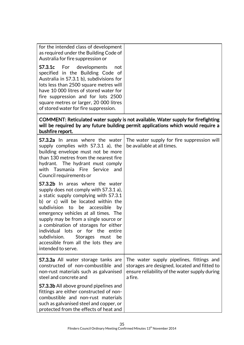| for the intended class of development<br>as required under the Building Code of<br>Australia for fire suppression or                                                                                                                                                                                                                                                                                                                                                                     |                                                                                                                                                                        |
|------------------------------------------------------------------------------------------------------------------------------------------------------------------------------------------------------------------------------------------------------------------------------------------------------------------------------------------------------------------------------------------------------------------------------------------------------------------------------------------|------------------------------------------------------------------------------------------------------------------------------------------------------------------------|
| <b>S7.3.1c</b> For<br>developments<br>not<br>specified in the Building Code of<br>Australia in S7.3.1 b), subdivisions for<br>lots less than 2500 square metres will<br>have 10 000 litres of stored water for<br>fire suppression and for lots 2500<br>square metres or larger, 20 000 litres<br>of stored water for fire suppression.                                                                                                                                                  |                                                                                                                                                                        |
| bushfire report.                                                                                                                                                                                                                                                                                                                                                                                                                                                                         | COMMENT: Reticulated water supply is not available. Water supply for firefighting<br>will be required by any future building permit applications which would require a |
| <b>S7.3.2a</b> In areas where the water<br>supply complies with S7.3.1 a), the<br>building envelope must not be more<br>than 130 metres from the nearest fire<br>hydrant. The hydrant must comply<br>with Tasmania Fire Service<br>and<br>Council requirements or                                                                                                                                                                                                                        | The water supply for fire suppression will<br>be available at all times.                                                                                               |
| <b>S7.3.2b</b> In areas where the water<br>supply does not comply with S7.3.1 a),<br>a static supply complying with S7.3.1<br>b) or c) will be located within the<br>subdivision to be accessible<br>by<br>emergency vehicles at all times. The<br>supply may be from a single source or<br>a combination of storages for either<br>individual lots or for the<br>entire<br>subdivision.<br><b>Storages</b><br>must<br>be<br>accessible from all the lots they are<br>intended to serve. |                                                                                                                                                                        |
| <b>S7.3.3a</b> All water storage tanks are<br>constructed of non-combustible and<br>non-rust materials such as galvanised<br>steel and concrete and                                                                                                                                                                                                                                                                                                                                      | The water supply pipelines, fittings and<br>storages are designed, located and fitted to<br>ensure reliability of the water supply during<br>a fire.                   |
| <b>S7.3.3b</b> All above ground pipelines and<br>fittings are either constructed of non-<br>combustible and non-rust materials<br>such as galvanised steel and copper, or<br>protected from the effects of heat and                                                                                                                                                                                                                                                                      |                                                                                                                                                                        |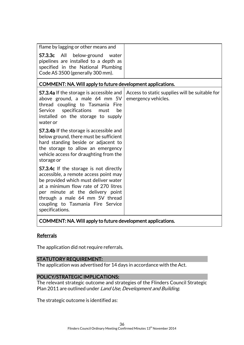| flame by lagging or other means and                                                                                                                                                                                                                                                                  |                                                                       |
|------------------------------------------------------------------------------------------------------------------------------------------------------------------------------------------------------------------------------------------------------------------------------------------------------|-----------------------------------------------------------------------|
| <b>S7.3.3c</b> All<br>below-ground<br>water<br>pipelines are installed to a depth as<br>specified in the National Plumbing<br>Code AS 3500 (generally 300 mm).                                                                                                                                       |                                                                       |
| COMMENT: NA. Will apply to future development applications.                                                                                                                                                                                                                                          |                                                                       |
| <b>S7.3.4a</b> If the storage is accessible and<br>above ground, a male 64 mm 5V<br>thread coupling to Tasmania Fire<br>Service<br>specifications<br>be<br>must<br>installed on the storage to supply<br>water or                                                                                    | Access to static supplies will be suitable for<br>emergency vehicles. |
| <b>S7.3.4b</b> If the storage is accessible and<br>below ground, there must be sufficient<br>hard standing beside or adjacent to<br>the storage to allow an emergency<br>vehicle access for draughting from the<br>storage or                                                                        |                                                                       |
| <b>S7.3.4c</b> If the storage is not directly<br>accessible, a remote access point may<br>be provided which must deliver water<br>at a minimum flow rate of 270 litres<br>per minute at the delivery point<br>through a male 64 mm 5V thread<br>coupling to Tasmania Fire Service<br>specifications. |                                                                       |
| COMMENT: NA. Will apply to future development applications.                                                                                                                                                                                                                                          |                                                                       |

### Referrals

The application did not require referrals.

### STATUTORY REQUIREMENT:

The application was advertised for 14 days in accordance with the Act.

### POLICY/STRATEGIC IMPLICATIONS:

The relevant strategic outcome and strategies of the Flinders Council Strategic Plan 2011 are outlined under Land Use, Development and Building.

The strategic outcome is identified as: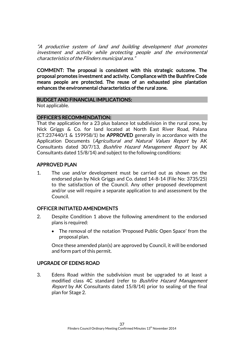"A productive system of land and building development that promotes investment and activity while protecting people and the environmental characteristics of the Flinders municipal area."

COMMENT: The proposal is consistent with this strategic outcome. The proposal promotes investment and activity. Compliance with the Bushfire Code means people are protected. The reuse of an exhausted pine plantation enhances the environmental characteristics of the rural zone.

#### BUDGET AND FINANCIAL IMPLICATIONS:

Not applicable.

#### OFFICER'S RECOMMENDATION:

That the application for a 23 plus balance lot subdivision in the rural zone, by Nick Griggs & Co. for land located at North East River Road, Palana (CT:237440/1 & 159958/1) be APPROVED generally in accordance with the Application Documents (Agricultural and Natural Values Report by AK Consultants dated 30/7/13, Bushfire Hazard Management Report by AK Consultants dated 15/8/14) and subject to the following conditions:

### APPROVED PLAN

1. The use and/or development must be carried out as shown on the endorsed plan by Nick Griggs and Co. dated 14-8-14 (File No: 3735/25) to the satisfaction of the Council. Any other proposed development and/or use will require a separate application to and assessment by the Council.

### OFFICER INITIATED AMENDMENTS

- 2. Despite Condition 1 above the following amendment to the endorsed plans is required:
	- The removal of the notation 'Proposed Public Open Space' from the proposal plan.

Once these amended plan(s) are approved by Council, it will be endorsed and form part of this permit.

### UPGRADE OF EDENS ROAD

3. Edens Road within the subdivision must be upgraded to at least a modified class 4C standard (refer to Bushfire Hazard Management Report by AK Consultants dated 15/8/14) prior to sealing of the final plan for Stage 2.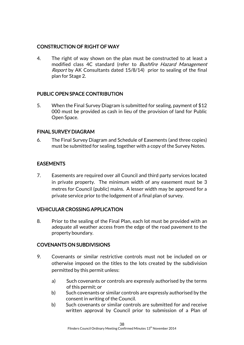### CONSTRUCTION OF RIGHT OF WAY

4. The right of way shown on the plan must be constructed to at least a modified class 4C standard (refer to Bushfire Hazard Management Report by AK Consultants dated 15/8/14) prior to sealing of the final plan for Stage 2.

### PUBLIC OPEN SPACE CONTRIBUTION

5. When the Final Survey Diagram is submitted for sealing, payment of \$12 000 must be provided as cash in lieu of the provision of land for Public Open Space.

### FINAL SURVEY DIAGRAM

6. The Final Survey Diagram and Schedule of Easements (and three copies) must be submitted for sealing, together with a copy of the Survey Notes.

### EASEMENTS

7. Easements are required over all Council and third party services located in private property. The minimum width of any easement must be 3 metres for Council (public) mains. A lesser width may be approved for a private service prior to the lodgement of a final plan of survey.

### VEHICULAR CROSSING APPLICATION

8. Prior to the sealing of the Final Plan, each lot must be provided with an adequate all weather access from the edge of the road pavement to the property boundary.

### COVENANTS ON SUBDIVISIONS

- 9. Covenants or similar restrictive controls must not be included on or otherwise imposed on the titles to the lots created by the subdivision permitted by this permit unless:
	- a) Such covenants or controls are expressly authorised by the terms of this permit; or
	- b) Such covenants or similar controls are expressly authorised by the consent in writing of the Council.
	- b) Such covenants or similar controls are submitted for and receive written approval by Council prior to submission of a Plan of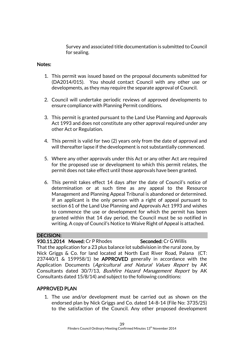Survey and associated title documentation is submitted to Council for sealing.

### Notes:

- 1. This permit was issued based on the proposal documents submitted for (DA2014/015). You should contact Council with any other use or developments, as they may require the separate approval of Council.
- 2. Council will undertake periodic reviews of approved developments to ensure compliance with Planning Permit conditions.
- 3. This permit is granted pursuant to the Land Use Planning and Approvals Act 1993 and does not constitute any other approval required under any other Act or Regulation.
- 4. This permit is valid for two (2) years only from the date of approval and will thereafter lapse if the development is not substantially commenced.
- 5. Where any other approvals under this Act or any other Act are required for the proposed use or development to which this permit relates, the permit does not take effect until those approvals have been granted.
- 6. This permit takes effect 14 days after the date of Council's notice of determination or at such time as any appeal to the Resource Management and Planning Appeal Tribunal is abandoned or determined. If an applicant is the only person with a right of appeal pursuant to section 61 of the Land Use Planning and Approvals Act 1993 and wishes to commence the use or development for which the permit has been granted within that 14 day period, the Council must be so notified in writing. A copy of Council's Notice to Waive Right of Appeal is attached.

### DECISION:

### 930.11.2014 Moved: Cr P Rhodes Seconded: Cr G Willis

That the application for a 23 plus balance lot subdivision in the rural zone, by Nick Griggs & Co. for land located at North East River Road, Palana (CT: 237440/1 & 159958/1) be APPROVED generally in accordance with the Application Documents (Agricultural and Natural Values Report by AK Consultants dated 30/7/13, Bushfire Hazard Management Report by AK Consultants dated 15/8/14) and subject to the following conditions:

### APPROVED PLAN

1. The use and/or development must be carried out as shown on the endorsed plan by Nick Griggs and Co. dated 14-8-14 (File No: 3735/25) to the satisfaction of the Council. Any other proposed development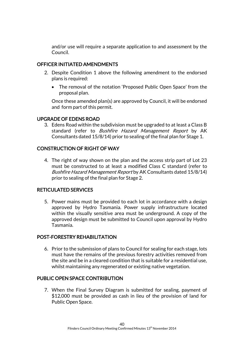and/or use will require a separate application to and assessment by the Council.

### OFFICER INITIATED AMENDMENTS

- 2. Despite Condition 1 above the following amendment to the endorsed plans is required:
	- The removal of the notation 'Proposed Public Open Space' from the proposal plan.

Once these amended plan(s) are approved by Council, it will be endorsed and form part of this permit.

### UPGRADE OF EDENS ROAD

3. Edens Road within the subdivision must be upgraded to at least a Class B standard (refer to *Bushfire Hazard Management Report* by AK Consultants dated 15/8/14) prior to sealing of the final plan for Stage 1.

### CONSTRUCTION OF RIGHT OF WAY

4. The right of way shown on the plan and the access strip part of Lot 23 must be constructed to at least a modified Class C standard (refer to Bushfire Hazard Management Report by AK Consultants dated 15/8/14) prior to sealing of the final plan for Stage 2.

### RETICULATED SERVICES

5. Power mains must be provided to each lot in accordance with a design approved by Hydro Tasmania. Power supply infrastructure located within the visually sensitive area must be underground. A copy of the approved design must be submitted to Council upon approval by Hydro Tasmania.

### POST-FORESTRY REHABILITATION

6. Prior to the submission of plans to Council for sealing for each stage, lots must have the remains of the previous forestry activities removed from the site and be in a cleared condition that is suitable for a residential use, whilst maintaining any regenerated or existing native vegetation.

### PUBLIC OPEN SPACE CONTRIBUTION

7. When the Final Survey Diagram is submitted for sealing, payment of \$12,000 must be provided as cash in lieu of the provision of land for Public Open Space.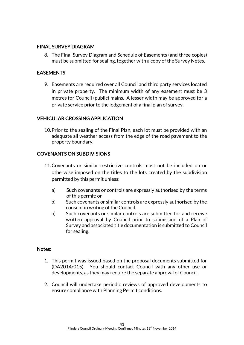### FINAL SURVEY DIAGRAM

8. The Final Survey Diagram and Schedule of Easements (and three copies) must be submitted for sealing, together with a copy of the Survey Notes.

### EASEMENTS

9. Easements are required over all Council and third party services located in private property. The minimum width of any easement must be 3 metres for Council (public) mains. A lesser width may be approved for a private service prior to the lodgement of a final plan of survey.

### VEHICULAR CROSSING APPLICATION

10.Prior to the sealing of the Final Plan, each lot must be provided with an adequate all weather access from the edge of the road pavement to the property boundary.

### COVENANTS ON SUBDIVISIONS

- 11.Covenants or similar restrictive controls must not be included on or otherwise imposed on the titles to the lots created by the subdivision permitted by this permit unless:
	- a) Such covenants or controls are expressly authorised by the terms of this permit; or
	- b) Such covenants or similar controls are expressly authorised by the consent in writing of the Council.
	- b) Such covenants or similar controls are submitted for and receive written approval by Council prior to submission of a Plan of Survey and associated title documentation is submitted to Council for sealing.

### Notes:

- 1. This permit was issued based on the proposal documents submitted for (DA2014/015). You should contact Council with any other use or developments, as they may require the separate approval of Council.
- 2. Council will undertake periodic reviews of approved developments to ensure compliance with Planning Permit conditions.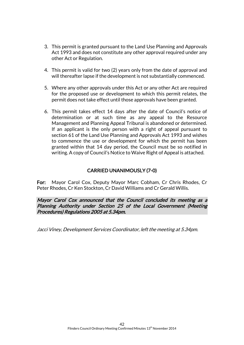- 3. This permit is granted pursuant to the Land Use Planning and Approvals Act 1993 and does not constitute any other approval required under any other Act or Regulation.
- 4. This permit is valid for two (2) years only from the date of approval and will thereafter lapse if the development is not substantially commenced.
- 5. Where any other approvals under this Act or any other Act are required for the proposed use or development to which this permit relates, the permit does not take effect until those approvals have been granted.
- 6. This permit takes effect 14 days after the date of Council's notice of determination or at such time as any appeal to the Resource Management and Planning Appeal Tribunal is abandoned or determined. If an applicant is the only person with a right of appeal pursuant to section 61 of the Land Use Planning and Approvals Act 1993 and wishes to commence the use or development for which the permit has been granted within that 14 day period, the Council must be so notified in writing. A copy of Council's Notice to Waive Right of Appeal is attached.

### CARRIED UNANIMOUSLY (7-0)

For: Mayor Carol Cox, Deputy Mayor Marc Cobham, Cr Chris Rhodes, Cr Peter Rhodes, Cr Ken Stockton, Cr David Williams and Cr Gerald Willis.

Mayor Carol Cox announced that the Council concluded its meeting as a Planning Authority under Section 25 of the Local Government (Meeting Procedures) Regulations 2005 at 5.34pm.

Jacci Viney, Development Services Coordinator, left the meeting at 5.34pm.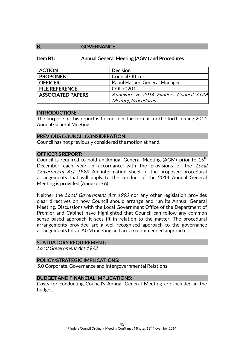### B. **GOVERNANCE**

#### Item B1: Annual General Meeting (AGM) and Procedures

| <b>ACTION</b>            | <b>Decision</b>                       |
|--------------------------|---------------------------------------|
| <b>PROPONENT</b>         | <b>Council Officer</b>                |
| <b>OFFICER</b>           | Raoul Harper, General Manager         |
| <b>FILE REFERENCE</b>    | COU/0201                              |
| <b>ASSOCIATED PAPERS</b> | Annexure 6: 2014 Flinders Council AGM |
|                          | <b>Meeting Procedures</b>             |

#### INTRODUCTION:

The purpose of this report is to consider the format for the forthcoming 2014 Annual General Meeting.

#### PREVIOUS COUNCIL CONSIDERATION:

Council has not previously considered the motion at hand.

### OFFICER'S REPORT:

Council is required to hold an Annual General Meeting (AGM) prior to  $15<sup>th</sup>$ December each year in accordance with the provisions of the Local Government Act 1993. An information sheet of the proposed procedural arrangements that will apply to the conduct of the 2014 Annual General Meeting is provided (Annexure 6).

Neither the *Local Government Act 1993* nor any other legislation provides clear directives on how Council should arrange and run its Annual General Meeting. Discussions with the Local Government Office of the Department of Premier and Cabinet have highlighted that Council can follow any common sense based approach it sees fit in relation to the matter. The procedural arrangements provided are a well-recognised approach to the governance arrangements for an AGM meeting and are a recommended approach.

### STATUATORY REQUIREMENT:

Local Government Act 1993

### POLICY/STRATEGIC IMPLICATIONS:

5.0 Corporate, Governance and Intergovernmental Relations

### BUDGET AND FINANCIAL IMPLICATIONS:

Costs for conducting Council's Annual General Meeting are included in the budget.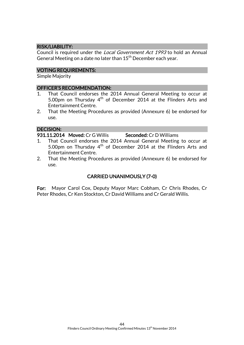### RISK/LIABILITY:

Council is required under the Local Government Act 1993 to hold an Annual General Meeting on a date no later than  $15<sup>th</sup>$  December each year.

#### VOTING REQUIREMENTS:

Simple Majority

#### OFFICER'S RECOMMENDATION:

- 1. That Council endorses the 2014 Annual General Meeting to occur at 5.00pm on Thursday  $4<sup>th</sup>$  of December 2014 at the Flinders Arts and Entertainment Centre.
- 2. That the Meeting Procedures as provided (Annexure 6) be endorsed for use.

#### DECISION:

931.11.2014 Moved: Cr G Willis Seconded: Cr D Williams

- 1. That Council endorses the 2014 Annual General Meeting to occur at 5.00pm on Thursday  $4<sup>th</sup>$  of December 2014 at the Flinders Arts and Entertainment Centre.
- 2. That the Meeting Procedures as provided (Annexure 6) be endorsed for use.

### CARRIED UNANIMOUSLY (7-0)

For: Mayor Carol Cox, Deputy Mayor Marc Cobham, Cr Chris Rhodes, Cr Peter Rhodes, Cr Ken Stockton, Cr David Williams and Cr Gerald Willis.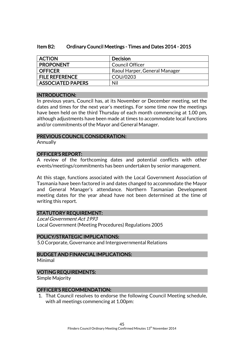|  | Item B2: | Ordinary Council Meetings - Times and Dates 2014 - 2015 |
|--|----------|---------------------------------------------------------|
|--|----------|---------------------------------------------------------|

| <b>ACTION</b>            | Decision                      |
|--------------------------|-------------------------------|
| <b>PROPONENT</b>         | Council Officer               |
| <b>OFFICER</b>           | Raoul Harper, General Manager |
| <b>FILE REFERENCE</b>    | COU/0203                      |
| <b>ASSOCIATED PAPERS</b> | Nil                           |

### INTRODUCTION:

In previous years, Council has, at its November or December meeting, set the dates and times for the next year's meetings. For some time now the meetings have been held on the third Thursday of each month commencing at 1.00 pm, although adjustments have been made at times to accommodate local functions and/or commitments of the Mayor and General Manager.

### PREVIOUS COUNCIL CONSIDERATION:

Annually

### OFFICER'S REPORT:

A review of the forthcoming dates and potential conflicts with other events/meetings/commitments has been undertaken by senior management.

At this stage, functions associated with the Local Government Association of Tasmania have been factored in and dates changed to accommodate the Mayor and General Manager's attendance. Northern Tasmanian Development meeting dates for the year ahead have not been determined at the time of writing this report.

### STATUTORY REQUIREMENT:

Local Government Act 1993 Local Government (Meeting Procedures) Regulations 2005

### POLICY/STRATEGIC IMPLICATIONS:

5.0 Corporate, Governance and Intergovernmental Relations

### BUDGET AND FINANCIAL IMPLICATIONS:

Minimal

### VOTING REQUIREMENTS:

Simple Majority

### OFFICER'S RECOMMENDATION:

1. That Council resolves to endorse the following Council Meeting schedule, with all meetings commencing at 1.00pm: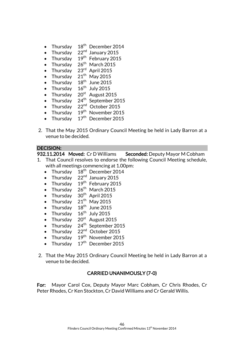- Thursday 18<sup>th</sup> December 2014
- Thursday  $22<sup>nd</sup>$  January 2015
- Thursday  $19^{th}$  February 2015
- Thursday  $26<sup>th</sup>$  March 2015
- $\bullet$  Thursdav 23<sup>rd</sup> April 2015
- $\bullet$  Thursday  $21<sup>th</sup>$  May 2015
- Thursday  $18<sup>th</sup>$  June 2015
- Thursday  $16^{th}$  July 2015
- $\bullet$  Thursday 20<sup>st</sup> August 2015
- Thursday  $24<sup>th</sup>$  September 2015
- $\bullet$  Thursdav 22<sup>nd</sup> October 2015
- $\bullet$  Thursday 19<sup>th</sup> November 2015
- $\bullet$  Thursday 17<sup>th</sup> December 2015
- 2. That the May 2015 Ordinary Council Meeting be held in Lady Barron at a venue to be decided.

### DECISION:

932.11.2014 Moved: Cr D Williams Seconded: Deputy Mayor M Cobham

- 1. That Council resolves to endorse the following Council Meeting schedule, with all meetings commencing at 1.00pm:
	- Thursday  $18<sup>th</sup>$  December 2014
	- Thursday  $22<sup>nd</sup>$  January 2015
	- Thursday  $19^{th}$  February 2015
	- Thursday  $26<sup>th</sup>$  March 2015
	- $\bullet$  Thursday 30<sup>th</sup> April 2015
	- $\bullet$  Thursday  $21<sup>th</sup>$  May 2015
	- Thursday  $18<sup>th</sup>$  June 2015
	- Thursday  $16^{th}$  July 2015
	- $\bullet$  Thursdav 20<sup>st</sup> August 2015
	- Thursday  $24^{th}$  September 2015
	- $\bullet$  Thursdav 22<sup>nd</sup> October 2015
	- $\bullet$  Thursday  $19<sup>th</sup>$  November 2015
	- $\bullet$  Thursday  $17^{\text{th}}$ December 2015
- 2. That the May 2015 Ordinary Council Meeting be held in Lady Barron at a venue to be decided.

### CARRIED UNANIMOUSLY (7-0)

For: Mayor Carol Cox, Deputy Mayor Marc Cobham, Cr Chris Rhodes, Cr Peter Rhodes, Cr Ken Stockton, Cr David Williams and Cr Gerald Willis.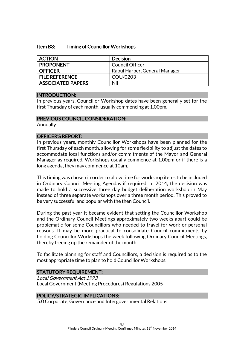#### Item B3: Timing of Councillor Workshops

| <b>ACTION</b>            | Decision                      |
|--------------------------|-------------------------------|
| <b>PROPONENT</b>         | <b>Council Officer</b>        |
| I OFFICER                | Raoul Harper, General Manager |
| <b>FILE REFERENCE</b>    | COU/0203                      |
| <b>ASSOCIATED PAPERS</b> | Nil                           |

#### INTRODUCTION:

In previous years, Councillor Workshop dates have been generally set for the first Thursday of each month, usually commencing at 1.00pm.

#### PREVIOUS COUNCIL CONSIDERATION:

Annually

### OFFICER'S REPORT:

In previous years, monthly Councillor Workshops have been planned for the first Thursday of each month, allowing for some flexibility to adjust the dates to accommodate local functions and/or commitments of the Mayor and General Manager as required. Workshops usually commence at 1.00pm or if there is a long agenda, they may commence at 10am.

This timing was chosen in order to allow time for workshop items to be included in Ordinary Council Meeting Agendas if required. In 2014, the decision was made to hold a successive three day budget deliberation workshop in May instead of three separate workshops over a three month period. This proved to be very successful and popular with the then Council.

During the past year it became evident that setting the Councillor Workshop and the Ordinary Council Meetings approximately two weeks apart could be problematic for some Councillors who needed to travel for work or personal reasons. It may be more practical to consolidate Council commitments by holding Councillor Workshops the week following Ordinary Council Meetings, thereby freeing up the remainder of the month.

To facilitate planning for staff and Councillors, a decision is required as to the most appropriate time to plan to hold Councillor Workshops.

#### STATUTORY REQUIREMENT:

Local Government Act 1993 Local Government (Meeting Procedures) Regulations 2005

### POLICY/STRATEGIC IMPLICATIONS:

5.0 Corporate, Governance and Intergovernmental Relations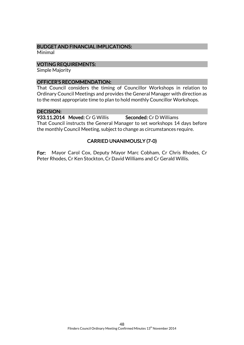### BUDGET AND FINANCIAL IMPLICATIONS:

Minimal

#### VOTING REQUIREMENTS:

Simple Majority

### OFFICER'S RECOMMENDATION:

That Council considers the timing of Councillor Workshops in relation to Ordinary Council Meetings and provides the General Manager with direction as to the most appropriate time to plan to hold monthly Councillor Workshops.

### DECISION:

933.11.2014 Moved: Cr G Willis Seconded: Cr D Williams That Council instructs the General Manager to set workshops 14 days before the monthly Council Meeting, subject to change as circumstances require.

### CARRIED UNANIMOUSLY (7-0)

For: Mayor Carol Cox, Deputy Mayor Marc Cobham, Cr Chris Rhodes, Cr Peter Rhodes, Cr Ken Stockton, Cr David Williams and Cr Gerald Willis.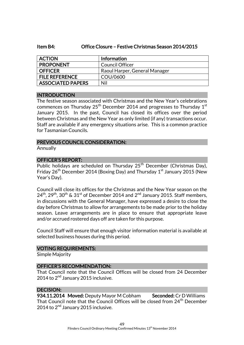### Item B4: Office Closure – Festive Christmas Season 2014/2015

| <b>ACTION</b>            | <b>Information</b>            |
|--------------------------|-------------------------------|
| <b>PROPONENT</b>         | Council Officer               |
| <b>OFFICER</b>           | Raoul Harper, General Manager |
| <b>FILE REFERENCE</b>    | COU/0600                      |
| <b>ASSOCIATED PAPERS</b> | Nil                           |

### INTRODUCTION

The festive season associated with Christmas and the New Year's celebrations commences on Thursday  $25<sup>th</sup>$  December 2014 and progresses to Thursday 1<sup>st</sup> January 2015. In the past, Council has closed its offices over the period between Christmas and the New Year as only limited (if any) transactions occur. Staff are available if any emergency situations arise. This is a common practice for Tasmanian Councils.

### PREVIOUS COUNCIL CONSIDERATION:

Annually

### OFFICER'S REPORT:

Public holidays are scheduled on Thursday 25<sup>th</sup> December (Christmas Day), Friday  $26<sup>th</sup>$  December 2014 (Boxing Day) and Thursday  $1<sup>st</sup>$  January 2015 (New Year's Day).

Council will close its offices for the Christmas and the New Year season on the  $24^{th}$ ,  $29^{th}$ ,  $30^{th}$  &  $31^{st}$  of December 2014 and  $2^{nd}$  January 2015. Staff members, in discussions with the General Manager, have expressed a desire to close the day before Christmas to allow for arrangements to be made prior to the holiday season. Leave arrangements are in place to ensure that appropriate leave and/or accrued rostered days off are taken for this purpose.

Council Staff will ensure that enough visitor information material is available at selected business houses during this period.

### VOTING REQUIREMENTS:

Simple Majority

### OFFICER'S RECOMMENDATION:

That Council note that the Council Offices will be closed from 24 December 2014 to  $2<sup>nd</sup>$  January 2015 inclusive.

### DECISION:

934.11.2014 Moved: Deputy Mayor M Cobham Seconded: Cr D Williams That Council note that the Council Offices will be closed from 24<sup>th</sup> December 2014 to 2<sup>nd</sup> January 2015 inclusive.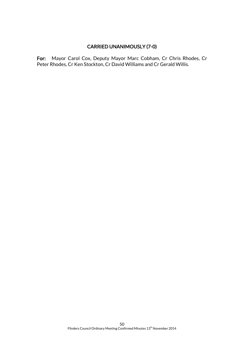### CARRIED UNANIMOUSLY (7-0)

For: Mayor Carol Cox, Deputy Mayor Marc Cobham, Cr Chris Rhodes, Cr Peter Rhodes, Cr Ken Stockton, Cr David Williams and Cr Gerald Willis.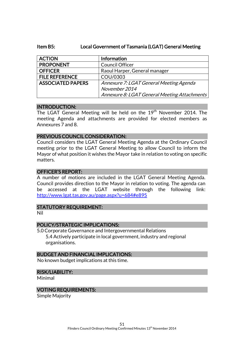#### Item B5: Local Government of Tasmania (LGAT) General Meeting

| <b>ACTION</b>            | Information                                  |
|--------------------------|----------------------------------------------|
| <b>PROPONENT</b>         | <b>Council Officer</b>                       |
| <b>OFFICER</b>           | Raoul Harper, General manager                |
| <b>FILE REFERENCE</b>    | COU/0303                                     |
| <b>ASSOCIATED PAPERS</b> | Annexure 7: LGAT General Meeting Agenda      |
|                          | November 2014                                |
|                          | Annexure 8: LGAT General Meeting Attachments |

#### INTRODUCTION:

The LGAT General Meeting will be held on the 19<sup>th</sup> November 2014. The meeting Agenda and attachments are provided for elected members as Annexures 7 and 8.

#### PREVIOUS COUNCIL CONSIDERATION:

Council considers the LGAT General Meeting Agenda at the Ordinary Council meeting prior to the LGAT General Meeting to allow Council to inform the Mayor of what position it wishes the Mayor take in relation to voting on specific matters.

#### OFFICER'S REPORT:

A number of motions are included in the LGAT General Meeting Agenda. Council provides direction to the Mayor in relation to voting. The agenda can be accessed at the LGAT website through the following link: <http://www.lgat.tas.gov.au/page.aspx?u=684#e895>

#### STATUTORY REQUIREMENT:

Nil

### POLICY/STRATEGIC IMPLICATIONS:

5.0 Corporate Governance and Intergovernmental Relations 5.4 Actively participate in local government, industry and regional organisations.

#### BUDGET AND FINANCIAL IMPLICATIONS:

No known budget implications at this time.

#### RISK/LIABILITY:

Minimal

#### VOTING REQUIREMENTS:

Simple Majority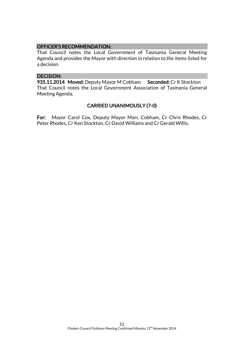### OFFICER'S RECOMMENDATION:

That Council notes the Local Government of Tasmania General Meeting Agenda and provides the Mayor with direction in relation to the items listed for a decision.

#### DECISION:

935.11.2014 Moved: Deputy Mayor M Cobham Seconded: Cr K Stockton That Council notes the Local Government Association of Tasmania General Meeting Agenda.

### CARRIED UNANIMOUSLY (7-0)

For: Mayor Carol Cox, Deputy Mayor Marc Cobham, Cr Chris Rhodes, Cr Peter Rhodes, Cr Ken Stockton, Cr David Williams and Cr Gerald Willis.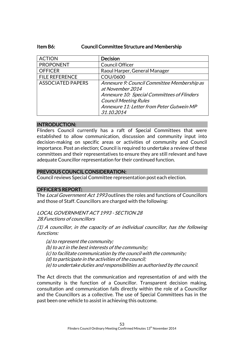### Item B6: Council Committee Structure and Membership

| <b>ACTION</b>            | <b>Decision</b>                                                                                                |
|--------------------------|----------------------------------------------------------------------------------------------------------------|
| <b>PROPONENT</b>         | <b>Council Officer</b>                                                                                         |
| <b>OFFICER</b>           | Raoul Harper, General Manager                                                                                  |
| <b>FILE REFERENCE</b>    | COU/0600                                                                                                       |
| <b>ASSOCIATED PAPERS</b> | Annexure 9: Council Committee Membership as<br>at November 2014<br>Annexure 10: Special Committees of Flinders |
|                          | <b>Council Meeting Rules</b><br>Annexure 11: Letter from Peter Gutwein MP<br>31.10.2014                        |

### INTRODUCTION:

Flinders Council currently has a raft of Special Committees that were established to allow communication, discussion and community input into decision-making on specific areas or activities of community and Council importance. Post an election; Council is required to undertake a review of these committees and their representatives to ensure they are still relevant and have adequate Councillor representation for their continued function.

### PREVIOUS COUNCIL CONSIDERATION:

Council reviews Special Committee representation post each election.

### OFFICER'S REPORT:

The Local Government Act 1993 outlines the roles and functions of Councillors and those of Staff. Councillors are charged with the following:

LOCAL GOVERNMENT ACT 1993 - SECTION 28 28.Functions of councillors

(1) A councillor, in the capacity of an individual councillor, has the following functions:

(a) to represent the community; (b) to act in the best interests of the community; (c) to facilitate communication by the council with the community; (d) to participate in the activities of the council; (e) to undertake duties and responsibilities as authorised by the council.

The Act directs that the communication and representation of and with the community is the function of a Councillor. Transparent decision making, consultation and communication falls directly within the role of a Councillor and the Councillors as a collective. The use of Special Committees has in the past been one vehicle to assist in achieving this outcome.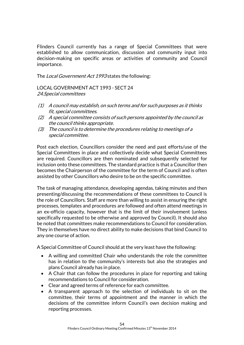Flinders Council currently has a range of Special Committees that were established to allow communication, discussion and community input into decision-making on specific areas or activities of community and Council importance.

The Local Government Act 1993 states the following:

LOCAL GOVERNMENT ACT 1993 - SECT 24 24.Special committees

- (1) A council may establish, on such terms and for such purposes as it thinks fit, special committees.
- (2) A special committee consists of such persons appointed by the council as the council thinks appropriate.
- (3) The council is to determine the procedures relating to meetings of a special committee.

Post each election, Councillors consider the need and past efforts/use of the Special Committees in place and collectively decide what Special Committees are required. Councillors are then nominated and subsequently selected for inclusion onto these committees. The standard practice is that a Councillor then becomes the Chairperson of the committee for the term of Council and is often assisted by other Councillors who desire to be on the specific committee.

The task of managing attendance, developing agendas, taking minutes and then presenting/discussing the recommendations of these committees to Council is the role of Councillors. Staff are more than willing to assist in ensuring the right processes, templates and procedures are followed and often attend meetings in an ex-officio capacity, however that is the limit of their involvement (unless specifically requested to be otherwise and approved by Council). It should also be noted that committees make recommendations to Council for consideration. They in themselves have no direct ability to make decisions that bind Council to any one course of action.

A Special Committee of Council should at the very least have the following:

- A willing and committed Chair who understands the role the committee has in relation to the community's interests but also the strategies and plans Council already has in place.
- A Chair that can follow the procedures in place for reporting and taking recommendations to Council for consideration.
- Clear and agreed terms of reference for each committee.
- A transparent approach to the selection of individuals to sit on the committee, their terms of appointment and the manner in which the decisions of the committee inform Council's own decision making and reporting processes.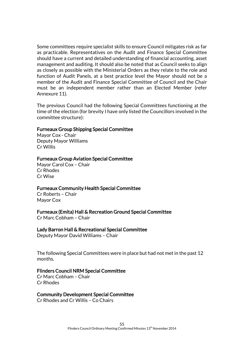Some committees require specialist skills to ensure Council mitigates risk as far as practicable. Representatives on the Audit and Finance Special Committee should have a current and detailed understanding of financial accounting, asset management and auditing. It should also be noted that as Council seeks to align as closely as possible with the Ministerial Orders as they relate to the role and function of Audit Panels, at a best practice level the Mayor should not be a member of the Audit and Finance Special Committee of Council and the Chair must be an independent member rather than an Elected Member (refer Annexure 11).

The previous Council had the following Special Committees functioning at the time of the election (for brevity I have only listed the Councillors involved in the committee structure):

#### Furneaux Group Shipping Special Committee

Mayor Cox - Chair Deputy Mayor Williams Cr Willis

#### Furneaux Group Aviation Special Committee

Mayor Carol Cox – Chair Cr Rhodes Cr Wise

### Furneaux Community Health Special Committee

Cr Roberts – Chair Mayor Cox

### Furneaux (Emita) Hall & Recreation Ground Special Committee

Cr Marc Cobham – Chair

### Lady Barron Hall & Recreational Special Committee

Deputy Mayor David Williams – Chair

The following Special Committees were in place but had not met in the past 12 months.

### Flinders Council NRM Special Committee

Cr Marc Cobham – Chair Cr Rhodes

### Community Development Special Committee

Cr Rhodes and Cr Willis – Co Chairs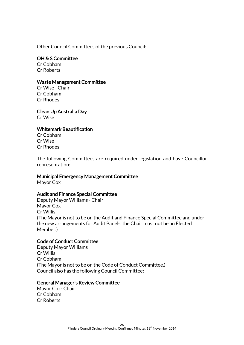Other Council Committees of the previous Council:

### OH & S Committee

Cr Cobham Cr Roberts

### Waste Management Committee

Cr Wise - Chair Cr Cobham Cr Rhodes

Clean Up Australia Day Cr Wise

## Whitemark Beautification

Cr Cobham Cr Wise Cr Rhodes

The following Committees are required under legislation and have Councillor representation:

### Municipal Emergency Management Committee

Mayor Cox

### Audit and Finance Special Committee

Deputy Mayor Williams - Chair Mayor Cox Cr Willis (The Mayor is not to be on the Audit and Finance Special Committee and under the new arrangements for Audit Panels, the Chair must not be an Elected Member.)

### Code of Conduct Committee

Deputy Mayor Williams Cr Willis Cr Cobham (The Mayor is not to be on the Code of Conduct Committee.) Council also has the following Council Committee:

### General Manager's Review Committee

Mayor Cox- Chair Cr Cobham Cr Roberts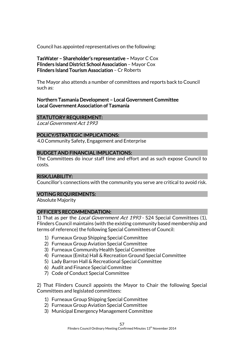Council has appointed representatives on the following:

TasWater – Shareholder's representative – Mayor C Cox Flinders Island District School Association – Mayor Cox Flinders Island Tourism Association – Cr Roberts

The Mayor also attends a number of committees and reports back to Council such as:

Northern Tasmania Development – Local Government Committee Local Government Association of Tasmania

### STATUTORY REQUIREMENT:

Local Government Act 1993

### POLICY/STRATEGIC IMPLICATIONS:

4.0 Community Safety, Engagement and Enterprise

### BUDGET AND FINANCIAL IMPLICATIONS:

The Committees do incur staff time and effort and as such expose Council to costs.

### RISK/LIABILITY:

Councillor's connections with the community you serve are critical to avoid risk.

### VOTING REQUIREMENTS:

Absolute Majority

### OFFICER'S RECOMMENDATION:

1) That as per the *Local Government Act 1993* - S24 Special Committees (1), Flinders Council maintains (with the existing community based membership and terms of reference) the following Special Committees of Council:

- 1) Furneaux Group Shipping Special Committee
- 2) Furneaux Group Aviation Special Committee
- 3) Furneaux Community Health Special Committee
- 4) Furneaux (Emita) Hall & Recreation Ground Special Committee
- 5) Lady Barron Hall & Recreational Special Committee
- 6) Audit and Finance Special Committee
- 7) Code of Conduct Special Committee

2) That Flinders Council appoints the Mayor to Chair the following Special Committees and legislated committees:

- 1) Furneaux Group Shipping Special Committee
- 2) Furneaux Group Aviation Special Committee
- 3) Municipal Emergency Management Committee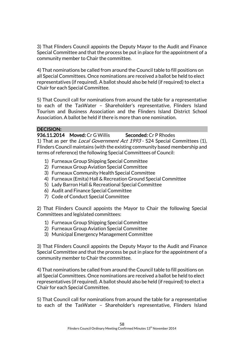3) That Flinders Council appoints the Deputy Mayor to the Audit and Finance Special Committee and that the process be put in place for the appointment of a community member to Chair the committee.

4) That nominations be called from around the Council table to fill positions on all Special Committees. Once nominations are received a ballot be held to elect representatives (if required). A ballot should also be held (if required) to elect a Chair for each Special Committee.

5) That Council call for nominations from around the table for a representative to each of the TasWater – Shareholder's representative, Flinders Island Tourism and Business Association and the Flinders Island District School Association. A ballot be held if there is more than one nomination.

### DECISION:

936.11.2014 Moved: Cr G Willis Seconded: Cr P Rhodes

1) That as per the *Local Government Act 1993* - S24 Special Committees (1), Flinders Council maintains (with the existing community based membership and terms of reference) the following Special Committees of Council:

- 1) Furneaux Group Shipping Special Committee
- 2) Furneaux Group Aviation Special Committee
- 3) Furneaux Community Health Special Committee
- 4) Furneaux (Emita) Hall & Recreation Ground Special Committee
- 5) Lady Barron Hall & Recreational Special Committee
- 6) Audit and Finance Special Committee
- 7) Code of Conduct Special Committee

2) That Flinders Council appoints the Mayor to Chair the following Special Committees and legislated committees:

- 1) Furneaux Group Shipping Special Committee
- 2) Furneaux Group Aviation Special Committee
- 3) Municipal Emergency Management Committee

3) That Flinders Council appoints the Deputy Mayor to the Audit and Finance Special Committee and that the process be put in place for the appointment of a community member to Chair the committee.

4) That nominations be called from around the Council table to fill positions on all Special Committees. Once nominations are received a ballot be held to elect representatives (if required). A ballot should also be held (if required) to elect a Chair for each Special Committee.

5) That Council call for nominations from around the table for a representative to each of the TasWater – Shareholder's representative, Flinders Island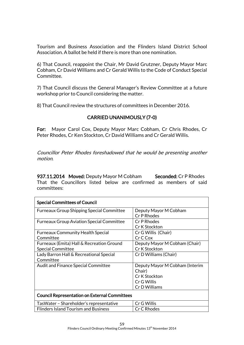Tourism and Business Association and the Flinders Island District School Association. A ballot be held if there is more than one nomination.

6) That Council, reappoint the Chair, Mr David Grutzner, Deputy Mayor Marc Cobham, Cr David Williams and Cr Gerald Willis to the Code of Conduct Special Committee.

7) That Council discuss the General Manager's Review Committee at a future workshop prior to Council considering the matter.

8) That Council review the structures of committees in December 2016.

### CARRIED UNANIMOUSLY (7-0)

For: Mayor Carol Cox, Deputy Mayor Marc Cobham, Cr Chris Rhodes, Cr Peter Rhodes, Cr Ken Stockton, Cr David Williams and Cr Gerald Willis.

Councillor Peter Rhodes foreshadowed that he would be presenting another motion.

937.11.2014 Moved: Deputy Mayor M Cobham Seconded: Cr P Rhodes That the Councillors listed below are confirmed as members of said committees:

| <b>Special Committees of Council</b>                 |                                |  |
|------------------------------------------------------|--------------------------------|--|
| <b>Furneaux Group Shipping Special Committee</b>     | Deputy Mayor M Cobham          |  |
|                                                      | Cr P Rhodes                    |  |
| <b>Furneaux Group Aviation Special Committee</b>     | Cr P Rhodes                    |  |
|                                                      | Cr K Stockton                  |  |
| <b>Furneaux Community Health Special</b>             | Cr G Willis (Chair)            |  |
| Committee                                            | Cr C Cox                       |  |
| Furneaux (Emita) Hall & Recreation Ground            | Deputy Mayor M Cobham (Chair)  |  |
| <b>Special Committee</b>                             | Cr K Stockton                  |  |
| Lady Barron Hall & Recreational Special              | Cr D Williams (Chair)          |  |
| Committee                                            |                                |  |
| <b>Audit and Finance Special Committee</b>           | Deputy Mayor M Cobham (Interim |  |
|                                                      | Chair)                         |  |
|                                                      | Cr K Stockton                  |  |
|                                                      | Cr G Willis                    |  |
|                                                      | Cr D Williams                  |  |
| <b>Council Representation on External Committees</b> |                                |  |
| TasWater – Shareholder's representative              | Cr G Willis                    |  |
| <b>Flinders Island Tourism and Business</b>          | Cr C Rhodes                    |  |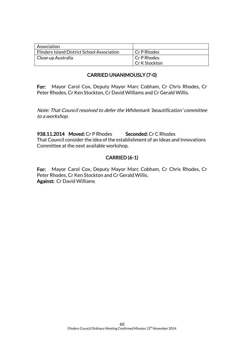| Association                                        |                |
|----------------------------------------------------|----------------|
| <b>Flinders Island District School Association</b> | Cr P Rhodes    |
| Clean up Australia                                 | l Cr P Rhodes  |
|                                                    | LCr K Stockton |

### CARRIED UNANIMOUSLY (7-0)

For: Mayor Carol Cox, Deputy Mayor Marc Cobham, Cr Chris Rhodes, Cr Peter Rhodes, Cr Ken Stockton, Cr David Williams and Cr Gerald Willis.

Note: That Council resolved to defer the Whitemark 'beautification' committee to a workshop.

938.11.2014 Moved: Cr P Rhodes Seconded: Cr C Rhodes That Council consider the idea of the establishment of an Ideas and Innovations Committee at the next available workshop.

### CARRIED (6-1)

For: Mayor Carol Cox, Deputy Mayor Marc Cobham, Cr Chris Rhodes, Cr Peter Rhodes, Cr Ken Stockton and Cr Gerald Willis. Against: Cr David Williams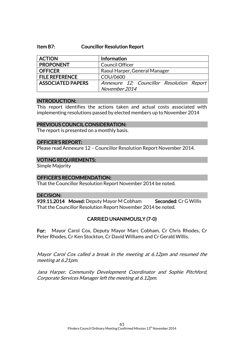#### Item B7: Councillor Resolution Report

| <b>ACTION</b>            | <b>Information</b>                        |
|--------------------------|-------------------------------------------|
| <b>PROPONENT</b>         | <b>Council Officer</b>                    |
| <b>OFFICER</b>           | Raoul Harper, General Manager             |
| <b>FILE REFERENCE</b>    | COU/0600                                  |
| <b>ASSOCIATED PAPERS</b> | Annexure 12: Councillor Resolution Report |
|                          | November 2014                             |

#### INTRODUCTION:

This report identifies the actions taken and actual costs associated with implementing resolutions passed by elected members up to November 2014

#### PREVIOUS COUNCIL CONSIDERATION:

The report is presented on a monthly basis.

#### OFFICER'S REPORT:

Please read Annexure 12 – Councillor Resolution Report November 2014.

#### VOTING REQUIREMENTS:

Simple Majority

### OFFICER'S RECOMMENDATION:

That the Councillor Resolution Report November 2014 be noted.

### DECISION:

939.11.2014 Moved: Deputy Mayor M Cobham Seconded: Cr G Willis That the Councillor Resolution Report November 2014 be noted.

### CARRIED UNANIMOUSLY (7-0)

For: Mayor Carol Cox, Deputy Mayor Marc Cobham, Cr Chris Rhodes, Cr Peter Rhodes, Cr Ken Stockton, Cr David Williams and Cr Gerald Willis.

Mayor Carol Cox called a break in the meeting at 6.12pm and resumed the meeting at 6.21pm.

Jana Harper, Community Development Coordinator and Sophie Pitchford, Corporate Services Manager left the meeting at 6.12pm.